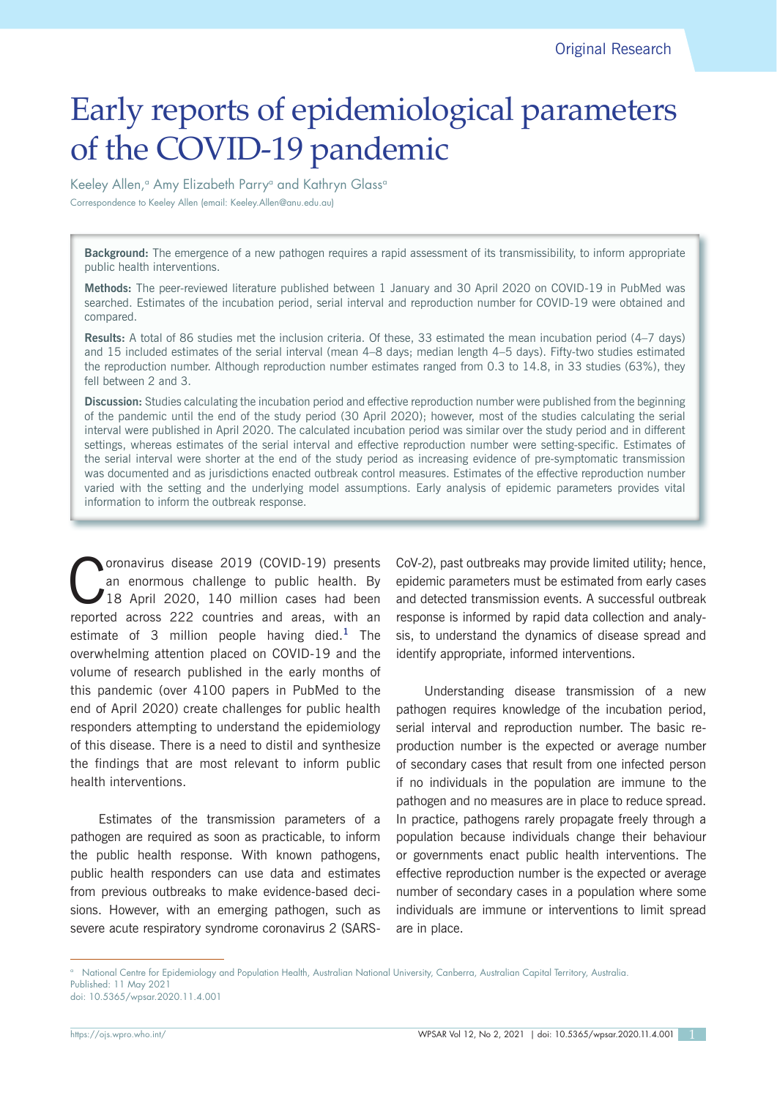# Early reports of epidemiological parameters of the COVID-19 pandemic

Keeley Allen,<sup>a</sup> Amy Elizabeth Parry<sup>a</sup> and Kathryn Glass<sup>a</sup> Correspondence to Keeley Allen (email: Keeley.Allen@anu.edu.au)

**Background:** The emergence of a new pathogen requires a rapid assessment of its transmissibility, to inform appropriate public health interventions.

**Methods:** The peer-reviewed literature published between 1 January and 30 April 2020 on COVID-19 in PubMed was searched. Estimates of the incubation period, serial interval and reproduction number for COVID-19 were obtained and compared.

**Results:** A total of 86 studies met the inclusion criteria. Of these, 33 estimated the mean incubation period (4–7 days) and 15 included estimates of the serial interval (mean 4–8 days; median length 4–5 days). Fifty-two studies estimated the reproduction number. Although reproduction number estimates ranged from 0.3 to 14.8, in 33 studies (63%), they fell between 2 and 3.

**Discussion:** Studies calculating the incubation period and effective reproduction number were published from the beginning of the pandemic until the end of the study period (30 April 2020); however, most of the studies calculating the serial interval were published in April 2020. The calculated incubation period was similar over the study period and in different settings, whereas estimates of the serial interval and effective reproduction number were setting-specific. Estimates of the serial interval were shorter at the end of the study period as increasing evidence of pre-symptomatic transmission was documented and as jurisdictions enacted outbreak control measures. Estimates of the effective reproduction number varied with the setting and the underlying model assumptions. Early analysis of epidemic parameters provides vital information to inform the outbreak response.

Coronavirus disease 2019 (COVID-19) presents<br>
an enormous challenge to public health. By<br>
18 April 2020, 140 million cases had been<br>
magneted express 222 countries and express with an an enormous challenge to public health. By reported across 222 countries and areas, with an estimate of 3 million people having died.**<sup>1</sup>** The overwhelming attention placed on COVID-19 and the volume of research published in the early months of this pandemic (over 4100 papers in PubMed to the end of April 2020) create challenges for public health responders attempting to understand the epidemiology of this disease. There is a need to distil and synthesize the findings that are most relevant to inform public health interventions.

Estimates of the transmission parameters of a pathogen are required as soon as practicable, to inform the public health response. With known pathogens, public health responders can use data and estimates from previous outbreaks to make evidence-based decisions. However, with an emerging pathogen, such as severe acute respiratory syndrome coronavirus 2 (SARS- CoV-2), past outbreaks may provide limited utility; hence, epidemic parameters must be estimated from early cases and detected transmission events. A successful outbreak response is informed by rapid data collection and analysis, to understand the dynamics of disease spread and identify appropriate, informed interventions.

Understanding disease transmission of a new pathogen requires knowledge of the incubation period, serial interval and reproduction number. The basic reproduction number is the expected or average number of secondary cases that result from one infected person if no individuals in the population are immune to the pathogen and no measures are in place to reduce spread. In practice, pathogens rarely propagate freely through a population because individuals change their behaviour or governments enact public health interventions. The effective reproduction number is the expected or average number of secondary cases in a population where some individuals are immune or interventions to limit spread are in place.

<sup>&</sup>lt;sup>a</sup> National Centre for Epidemiology and Population Health, Australian National University, Canberra, Australian Capital Territory, Australia. Published: 11 May 2021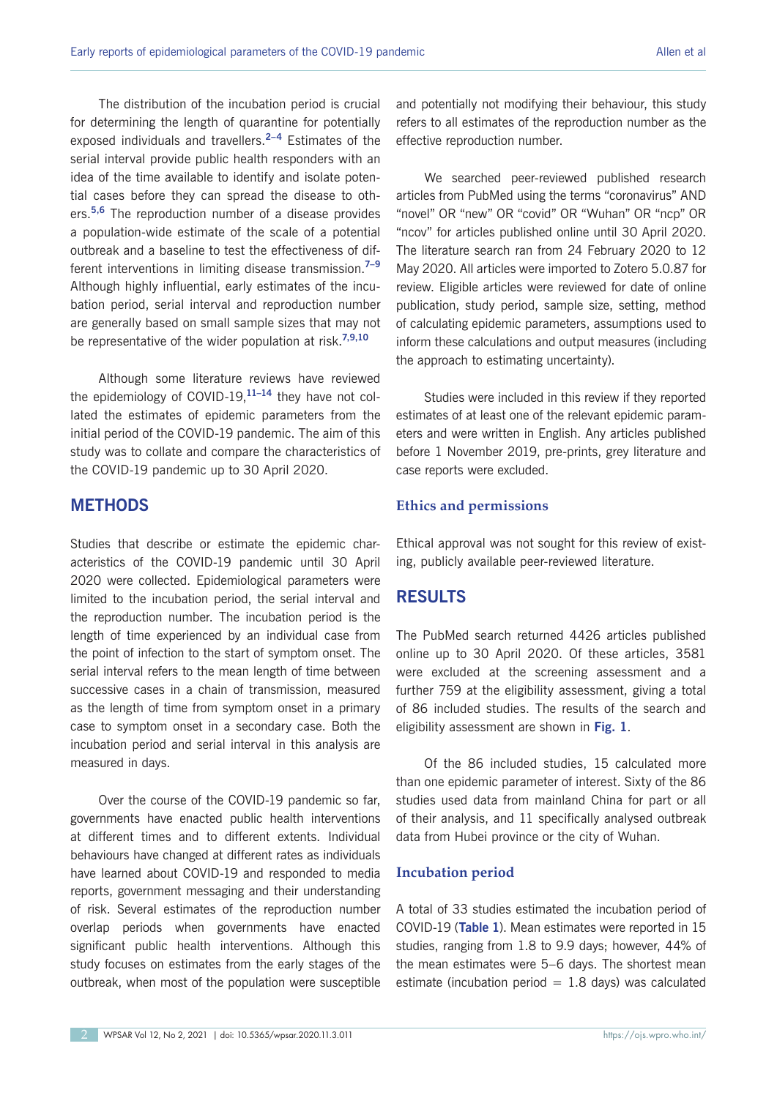The distribution of the incubation period is crucial for determining the length of quarantine for potentially exposed individuals and travellers.**2–4** Estimates of the serial interval provide public health responders with an idea of the time available to identify and isolate potential cases before they can spread the disease to others.**5,6** The reproduction number of a disease provides a population-wide estimate of the scale of a potential outbreak and a baseline to test the effectiveness of different interventions in limiting disease transmission.**7–9** Although highly influential, early estimates of the incubation period, serial interval and reproduction number are generally based on small sample sizes that may not be representative of the wider population at risk.**7,9,10**

Although some literature reviews have reviewed the epidemiology of COVID-19,**11–14** they have not collated the estimates of epidemic parameters from the initial period of the COVID-19 pandemic. The aim of this study was to collate and compare the characteristics of the COVID-19 pandemic up to 30 April 2020.

## **METHODS**

Studies that describe or estimate the epidemic characteristics of the COVID-19 pandemic until 30 April 2020 were collected. Epidemiological parameters were limited to the incubation period, the serial interval and the reproduction number. The incubation period is the length of time experienced by an individual case from the point of infection to the start of symptom onset. The serial interval refers to the mean length of time between successive cases in a chain of transmission, measured as the length of time from symptom onset in a primary case to symptom onset in a secondary case. Both the incubation period and serial interval in this analysis are measured in days.

Over the course of the COVID-19 pandemic so far, governments have enacted public health interventions at different times and to different extents. Individual behaviours have changed at different rates as individuals have learned about COVID-19 and responded to media reports, government messaging and their understanding of risk. Several estimates of the reproduction number overlap periods when governments have enacted significant public health interventions. Although this study focuses on estimates from the early stages of the outbreak, when most of the population were susceptible

and potentially not modifying their behaviour, this study refers to all estimates of the reproduction number as the effective reproduction number.

We searched peer-reviewed published research articles from PubMed using the terms "coronavirus" AND "novel" OR "new" OR "covid" OR "Wuhan" OR "ncp" OR "ncov" for articles published online until 30 April 2020. The literature search ran from 24 February 2020 to 12 May 2020. All articles were imported to Zotero 5.0.87 for review. Eligible articles were reviewed for date of online publication, study period, sample size, setting, method of calculating epidemic parameters, assumptions used to inform these calculations and output measures (including the approach to estimating uncertainty).

Studies were included in this review if they reported estimates of at least one of the relevant epidemic parameters and were written in English. Any articles published before 1 November 2019, pre-prints, grey literature and case reports were excluded.

#### **Ethics and permissions**

Ethical approval was not sought for this review of existing, publicly available peer-reviewed literature.

## **RESULTS**

The PubMed search returned 4426 articles published online up to 30 April 2020. Of these articles, 3581 were excluded at the screening assessment and a further 759 at the eligibility assessment, giving a total of 86 included studies. The results of the search and eligibility assessment are shown in **Fig. 1**.

Of the 86 included studies, 15 calculated more than one epidemic parameter of interest. Sixty of the 86 studies used data from mainland China for part or all of their analysis, and 11 specifically analysed outbreak data from Hubei province or the city of Wuhan.

#### **Incubation period**

A total of 33 studies estimated the incubation period of COVID-19 (**Table 1**). Mean estimates were reported in 15 studies, ranging from 1.8 to 9.9 days; however, 44% of the mean estimates were 5–6 days. The shortest mean estimate (incubation period  $= 1.8$  days) was calculated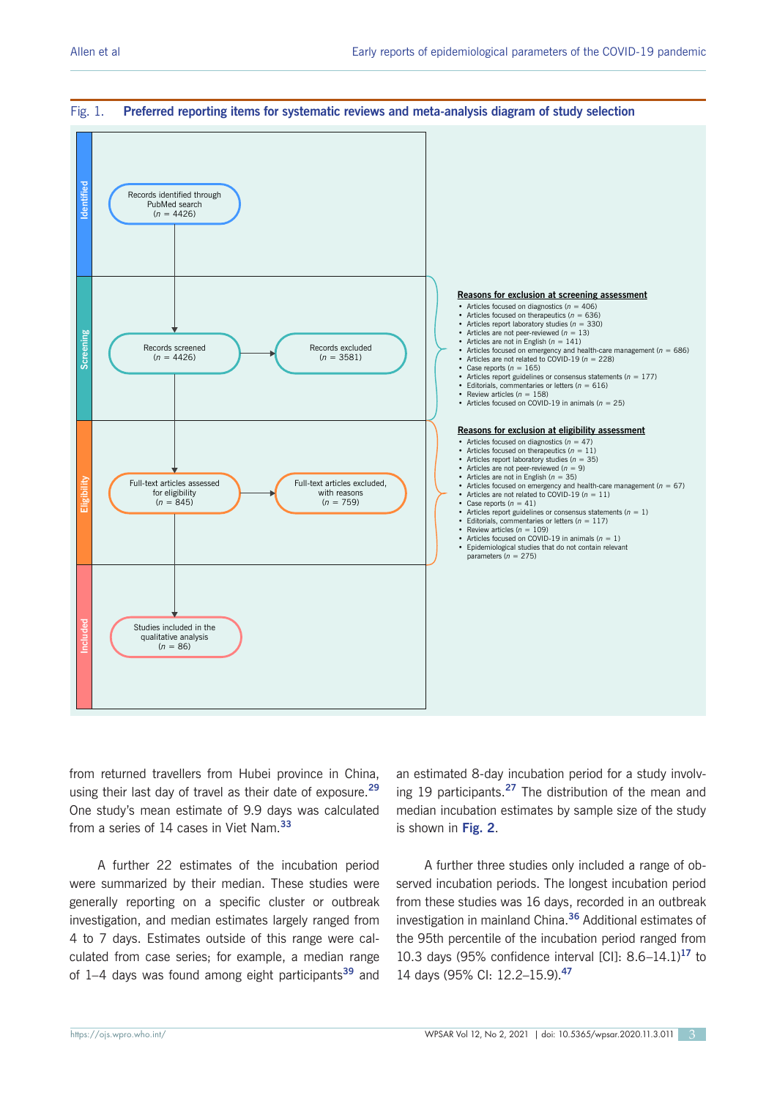

#### Fig. 1. **Preferred reporting items for systematic reviews and meta-analysis diagram of study selection**

from returned travellers from Hubei province in China, using their last day of travel as their date of exposure.**<sup>29</sup>** One study's mean estimate of 9.9 days was calculated from a series of 14 cases in Viet Nam.**<sup>33</sup>**

A further 22 estimates of the incubation period were summarized by their median. These studies were generally reporting on a specific cluster or outbreak investigation, and median estimates largely ranged from 4 to 7 days. Estimates outside of this range were calculated from case series; for example, a median range of 1–4 days was found among eight participants**<sup>39</sup>** and an estimated 8-day incubation period for a study involving 19 participants.**<sup>27</sup>** The distribution of the mean and median incubation estimates by sample size of the study is shown in **Fig. 2**.

A further three studies only included a range of observed incubation periods. The longest incubation period from these studies was 16 days, recorded in an outbreak investigation in mainland China.**<sup>36</sup>** Additional estimates of the 95th percentile of the incubation period ranged from 10.3 days (95% confidence interval [CI]: 8.6–14.1)**<sup>17</sup>** to 14 days (95% CI: 12.2–15.9).**<sup>47</sup>**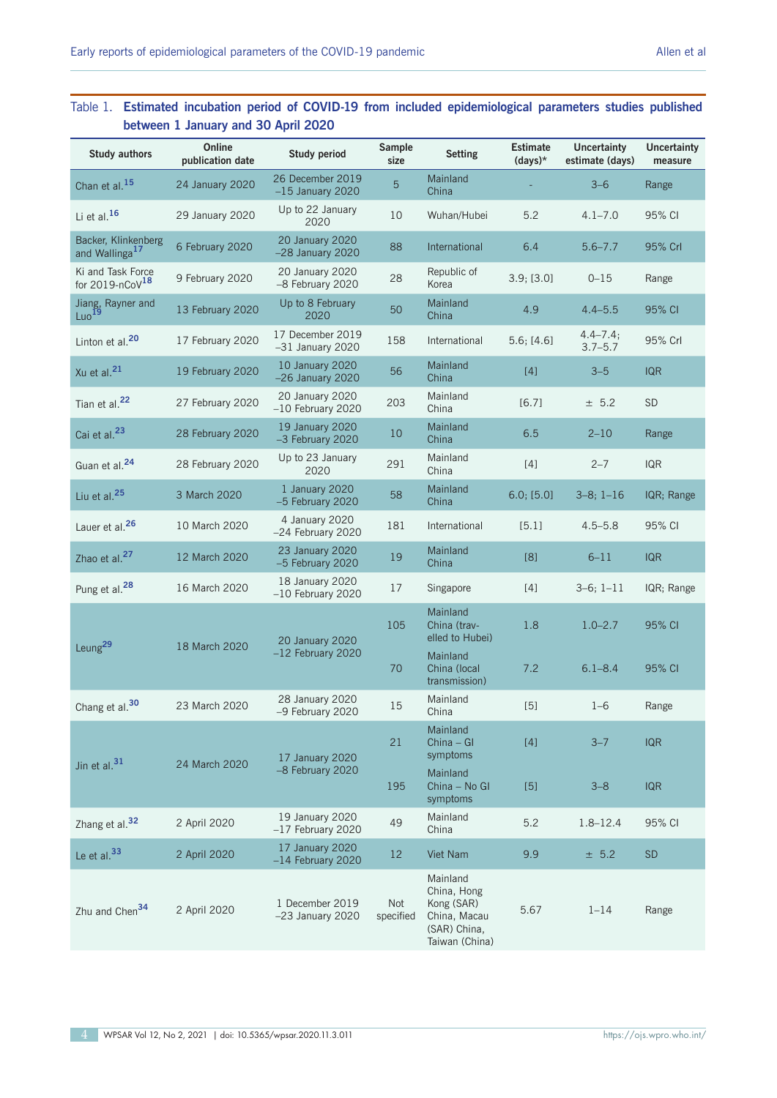## Table 1. **Estimated incubation period of COVID-19 from included epidemiological parameters studies published between 1 January and 30 April 2020**

| <b>Study authors</b>                              | Online<br>publication date | <b>Study period</b>                    | Sample<br>size   | <b>Setting</b>                                                                          | <b>Estimate</b><br>$(days)*$ | <b>Uncertainty</b><br>estimate (days) | <b>Uncertainty</b><br>measure |
|---------------------------------------------------|----------------------------|----------------------------------------|------------------|-----------------------------------------------------------------------------------------|------------------------------|---------------------------------------|-------------------------------|
| Chan et al. <sup>15</sup>                         | 24 January 2020            | 26 December 2019<br>$-15$ January 2020 | 5                | Mainland<br>China                                                                       |                              | $3 - 6$                               | Range                         |
| Li et al. <sup>16</sup>                           | 29 January 2020            | Up to 22 January<br>2020               | 10               | Wuhan/Hubei                                                                             | 5.2                          | $4.1 - 7.0$                           | 95% CI                        |
| Backer, Klinkenberg<br>and Wallinga <sup>17</sup> | 6 February 2020            | 20 January 2020<br>$-28$ January 2020  | 88               | International                                                                           | 6.4                          | $5.6 - 7.7$                           | 95% Crl                       |
| Ki and Task Force<br>for 2019-nCoV $18$           | 9 February 2020            | 20 January 2020<br>-8 February 2020    | 28               | Republic of<br>Korea                                                                    | 3.9; [3.0]                   | $0 - 15$                              | Range                         |
| Jiang, Rayner and<br>Luo <sup>19</sup>            | 13 February 2020           | Up to 8 February<br>2020               | 50               | Mainland<br>China                                                                       | 4.9                          | $4.4 - 5.5$                           | 95% CI                        |
| Linton et al. <sup>20</sup>                       | 17 February 2020           | 17 December 2019<br>$-31$ January 2020 | 158              | International                                                                           | 5.6; [4.6]                   | $4.4 - 7.4;$<br>$3.7 - 5.7$           | 95% Crl                       |
| Xu et al. <sup>21</sup>                           | 19 February 2020           | 10 January 2020<br>$-26$ January 2020  | 56               | Mainland<br>China                                                                       | [4]                          | $3 - 5$                               | <b>IQR</b>                    |
| Tian et al. <sup>22</sup>                         | 27 February 2020           | 20 January 2020<br>$-10$ February 2020 | 203              | Mainland<br>China                                                                       | [6.7]                        | ± 5.2                                 | <b>SD</b>                     |
| Cai et al. <sup>23</sup>                          | 28 February 2020           | 19 January 2020<br>-3 February 2020    | 10               | Mainland<br>China                                                                       | 6.5                          | $2 - 10$                              | Range                         |
| Guan et al. <sup>24</sup>                         | 28 February 2020           | Up to 23 January<br>2020               | 291              | Mainland<br>China                                                                       | $[4]$                        | $2 - 7$                               | <b>IQR</b>                    |
| Liu et al. <sup>25</sup>                          | 3 March 2020               | 1 January 2020<br>-5 February 2020     | 58               | Mainland<br>China                                                                       | 6.0; [5.0]                   | $3-8; 1-16$                           | IQR; Range                    |
| Lauer et al. <sup>26</sup>                        | 10 March 2020              | 4 January 2020<br>$-24$ February 2020  | 181              | International                                                                           | [5.1]                        | $4.5 - 5.8$                           | 95% CI                        |
| Zhao et al. <sup>27</sup>                         | 12 March 2020              | 23 January 2020<br>-5 February 2020    | 19               | Mainland<br>China                                                                       | [8]                          | $6 - 11$                              | <b>IQR</b>                    |
| Pung et al. <sup>28</sup>                         | 16 March 2020              | 18 January 2020<br>$-10$ February 2020 | 17               | Singapore                                                                               | [4]                          | $3-6; 1-11$                           | IQR; Range                    |
| Leung <sup>29</sup>                               | 18 March 2020              | 20 January 2020                        | 105              | Mainland<br>China (trav-<br>elled to Hubei)                                             | 1.8                          | $1.0 - 2.7$                           | 95% CI                        |
|                                                   |                            | $-12$ February 2020                    | 70               | Mainland<br>China (local<br>transmission)                                               | 7.2                          | $6.1 - 8.4$                           | 95% CI                        |
| Chang et al. <sup>30</sup>                        | 23 March 2020              | 28 January 2020<br>-9 February 2020    | 15               | Mainland<br>China                                                                       | $[5]$                        | $1 - 6$                               | Range                         |
| Jin et al. <sup>31</sup>                          | 24 March 2020              | 17 January 2020                        | 21               | Mainland<br>$China - GI$<br>symptoms                                                    | [4]                          | $3 - 7$                               | <b>IQR</b>                    |
|                                                   |                            | -8 February 2020                       | 195              | Mainland<br>China - No Gl<br>symptoms                                                   | [5]                          | $3 - 8$                               | <b>IQR</b>                    |
| Zhang et al. <sup>32</sup>                        | 2 April 2020               | 19 January 2020<br>$-17$ February 2020 | 49               | Mainland<br>China                                                                       | 5.2                          | $1.8 - 12.4$                          | 95% CI                        |
| Le et al. <sup>33</sup>                           | 2 April 2020               | 17 January 2020<br>$-14$ February 2020 | 12               | Viet Nam                                                                                | 9.9                          | ± 5.2                                 | <b>SD</b>                     |
| Zhu and Chen <sup>34</sup>                        | 2 April 2020               | 1 December 2019<br>$-23$ January 2020  | Not<br>specified | Mainland<br>China, Hong<br>Kong (SAR)<br>China, Macau<br>(SAR) China,<br>Taiwan (China) | 5.67                         | $1 - 14$                              | Range                         |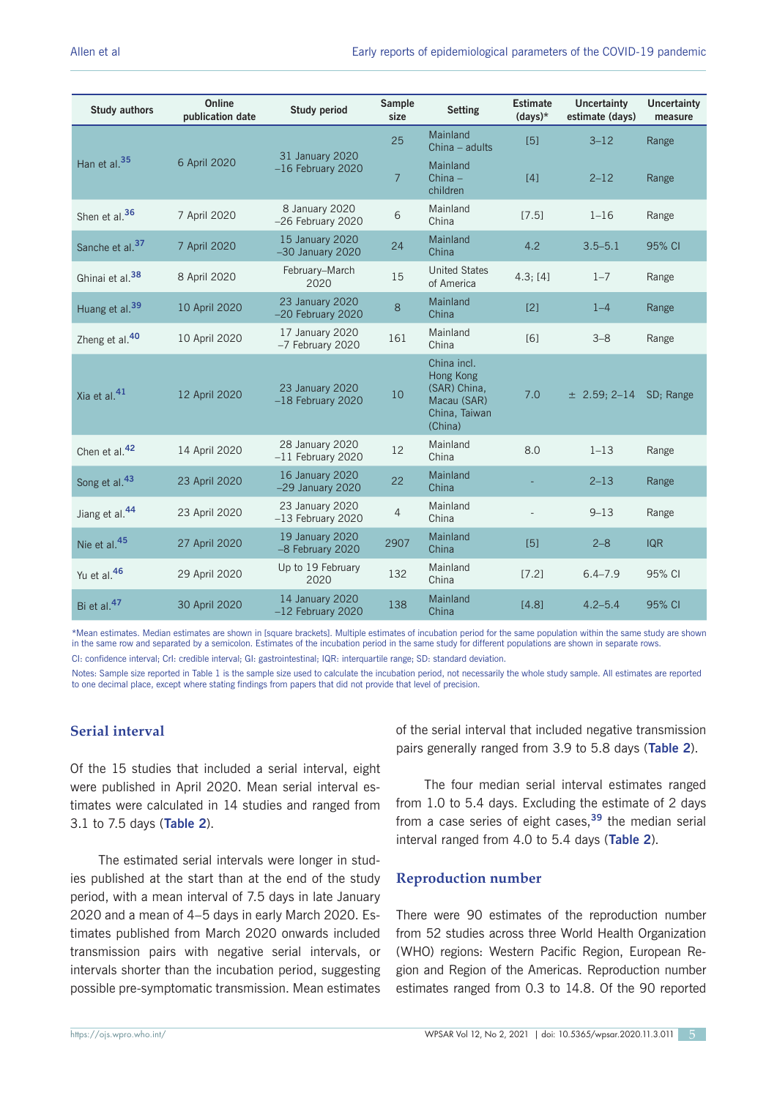| <b>Study authors</b>        | Online<br>publication date | <b>Study period</b>                    | <b>Sample</b><br>size | <b>Setting</b>                                                                      | <b>Estimate</b><br>$(days)*$ | <b>Uncertainty</b><br>estimate (days) | <b>Uncertainty</b><br>measure |
|-----------------------------|----------------------------|----------------------------------------|-----------------------|-------------------------------------------------------------------------------------|------------------------------|---------------------------------------|-------------------------------|
|                             |                            |                                        | 25                    | Mainland<br>China - adults                                                          | $[5]$                        | $3 - 12$                              | Range                         |
| Han et al. <sup>35</sup>    | 6 April 2020               | 31 January 2020<br>$-16$ February 2020 | $\overline{7}$        | Mainland<br>$China -$<br>children                                                   | $[4]$                        | $2 - 12$                              | Range                         |
| Shen et al. <sup>36</sup>   | 7 April 2020               | 8 January 2020<br>-26 February 2020    | 6                     | Mainland<br>China                                                                   | [7.5]                        | $1 - 16$                              | Range                         |
| Sanche et al. <sup>37</sup> | 7 April 2020               | 15 January 2020<br>$-30$ January 2020  | 24                    | Mainland<br>China                                                                   | 4.2                          | $3.5 - 5.1$                           | 95% CI                        |
| Ghinai et al. <sup>38</sup> | 8 April 2020               | February-March<br>2020                 | 15                    | <b>United States</b><br>of America                                                  | 4.3; [4]                     | $1 - 7$                               | Range                         |
| Huang et al. <sup>39</sup>  | 10 April 2020              | 23 January 2020<br>-20 February 2020   | 8                     | Mainland<br>China                                                                   | [2]                          | $1 - 4$                               | Range                         |
| Zheng et al. <sup>40</sup>  | 10 April 2020              | 17 January 2020<br>-7 February 2020    | 161                   | Mainland<br>China                                                                   | [6]                          | $3 - 8$                               | Range                         |
| Xia et al. <sup>41</sup>    | 12 April 2020              | 23 January 2020<br>$-18$ February 2020 | 10                    | China incl.<br>Hong Kong<br>(SAR) China,<br>Macau (SAR)<br>China, Taiwan<br>(China) | 7.0                          | $\pm$ 2.59; 2-14                      | SD; Range                     |
| Chen et al. <sup>42</sup>   | 14 April 2020              | 28 January 2020<br>$-11$ February 2020 | 12                    | Mainland<br>China                                                                   | 8.0                          | $1 - 13$                              | Range                         |
| Song et al. <sup>43</sup>   | 23 April 2020              | 16 January 2020<br>$-29$ January 2020  | 22                    | Mainland<br>China                                                                   |                              | $2 - 13$                              | Range                         |
| Jiang et al. <sup>44</sup>  | 23 April 2020              | 23 January 2020<br>$-13$ February 2020 | $\overline{4}$        | Mainland<br>China                                                                   |                              | $9 - 13$                              | Range                         |
| Nie et al. <sup>45</sup>    | 27 April 2020              | 19 January 2020<br>-8 February 2020    | 2907                  | Mainland<br>China                                                                   | $[5]$                        | $2 - 8$                               | <b>IQR</b>                    |
| Yu et al. <sup>46</sup>     | 29 April 2020              | Up to 19 February<br>2020              | 132                   | Mainland<br>China                                                                   | [7.2]                        | $6.4 - 7.9$                           | 95% CI                        |
| Bi et al. <sup>47</sup>     | 30 April 2020              | 14 January 2020<br>$-12$ February 2020 | 138                   | Mainland<br>China                                                                   | [4.8]                        | $4.2 - 5.4$                           | 95% CI                        |

\*Mean estimates. Median estimates are shown in [square brackets]. Multiple estimates of incubation period for the same population within the same study are shown in the same row and separated by a semicolon. Estimates of the incubation period in the same study for different populations are shown in separate rows.

CI: confidence interval; CrI: credible interval; GI: gastrointestinal; IQR: interquartile range; SD: standard deviation.

Notes: Sample size reported in Table 1 is the sample size used to calculate the incubation period, not necessarily the whole study sample. All estimates are reported to one decimal place, except where stating findings from papers that did not provide that level of precision.

## **Serial interval**

Of the 15 studies that included a serial interval, eight were published in April 2020. Mean serial interval estimates were calculated in 14 studies and ranged from 3.1 to 7.5 days (**Table 2**).

The estimated serial intervals were longer in studies published at the start than at the end of the study period, with a mean interval of 7.5 days in late January 2020 and a mean of 4–5 days in early March 2020. Estimates published from March 2020 onwards included transmission pairs with negative serial intervals, or intervals shorter than the incubation period, suggesting possible pre-symptomatic transmission. Mean estimates

of the serial interval that included negative transmission pairs generally ranged from 3.9 to 5.8 days (**Table 2**).

The four median serial interval estimates ranged from 1.0 to 5.4 days. Excluding the estimate of 2 days from a case series of eight cases,**<sup>39</sup>** the median serial interval ranged from 4.0 to 5.4 days (**Table 2**).

#### **Reproduction number**

There were 90 estimates of the reproduction number from 52 studies across three World Health Organization (WHO) regions: Western Pacific Region, European Region and Region of the Americas. Reproduction number estimates ranged from 0.3 to 14.8. Of the 90 reported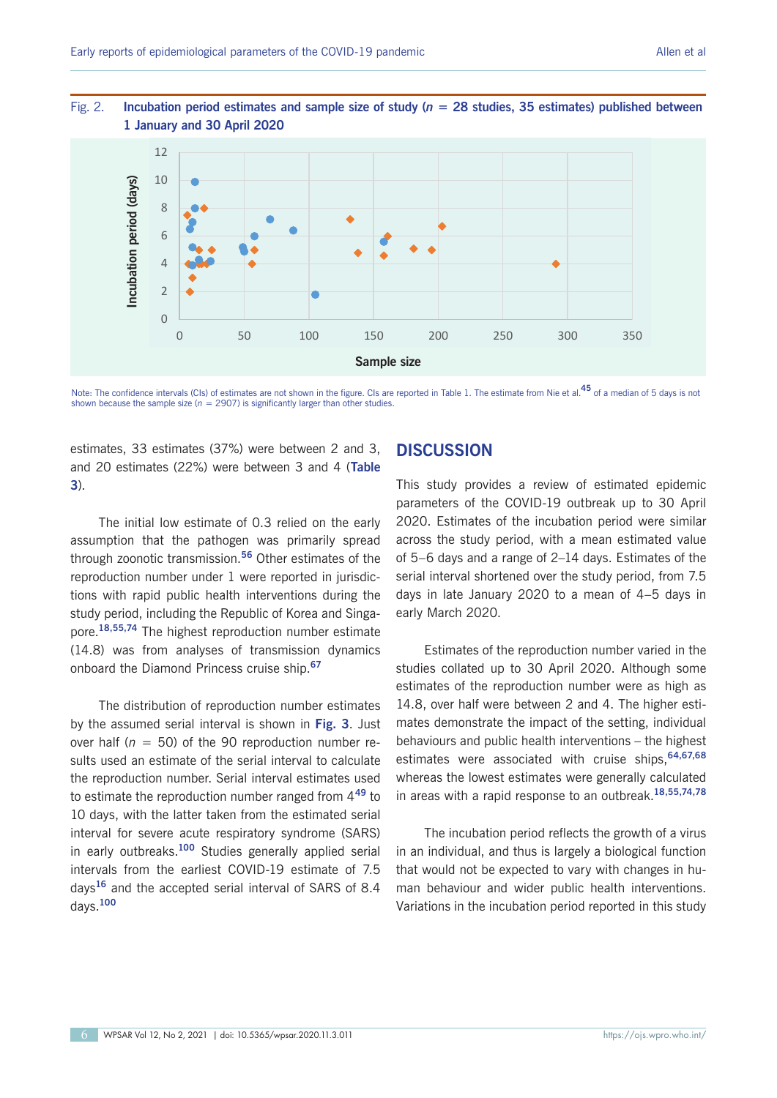

## Fig. 2. **Incubation period estimates and sample size of study (***n* **= 28 studies, 35 estimates) published between**  Incubation period estimates and sample size of study (n = **1 January and 30 April 2020**

Note: The confidence intervals (CIs) of estimates are not shown in the figure. CIs are reported in Table 1. The estimate from Nie et al.**45** of a median of 5 days is not shown because the sample size ( $n = 2907$ ) is significantly larger than other studies.

estimates, 33 estimates (37%) were between 2 and 3, and 20 estimates (22%) were between 3 and 4 (**Table 3**).

The initial low estimate of 0.3 relied on the early assumption that the pathogen was primarily spread through zoonotic transmission.**<sup>56</sup>** Other estimates of the reproduction number under 1 were reported in jurisdictions with rapid public health interventions during the study period, including the Republic of Korea and Singapore.**18,55,74** The highest reproduction number estimate (14.8) was from analyses of transmission dynamics onboard the Diamond Princess cruise ship.**<sup>67</sup>**

The distribution of reproduction number estimates by the assumed serial interval is shown in **Fig. 3**. Just over half ( $n = 50$ ) of the 90 reproduction number results used an estimate of the serial interval to calculate the reproduction number. Serial interval estimates used to estimate the reproduction number ranged from 4**<sup>49</sup>** to 10 days, with the latter taken from the estimated serial interval for severe acute respiratory syndrome (SARS) in early outbreaks.**<sup>100</sup>** Studies generally applied serial intervals from the earliest COVID-19 estimate of 7.5 days**<sup>16</sup>** and the accepted serial interval of SARS of 8.4 days.**<sup>100</sup>**

## **DISCUSSION**

This study provides a review of estimated epidemic parameters of the COVID-19 outbreak up to 30 April 2020. Estimates of the incubation period were similar across the study period, with a mean estimated value of 5–6 days and a range of 2–14 days. Estimates of the serial interval shortened over the study period, from 7.5 days in late January 2020 to a mean of 4–5 days in early March 2020.

Estimates of the reproduction number varied in the studies collated up to 30 April 2020. Although some estimates of the reproduction number were as high as 14.8, over half were between 2 and 4. The higher estimates demonstrate the impact of the setting, individual behaviours and public health interventions – the highest estimates were associated with cruise ships,**64,67,68** whereas the lowest estimates were generally calculated in areas with a rapid response to an outbreak.**18,55,74,78**

The incubation period reflects the growth of a virus in an individual, and thus is largely a biological function that would not be expected to vary with changes in human behaviour and wider public health interventions. Variations in the incubation period reported in this study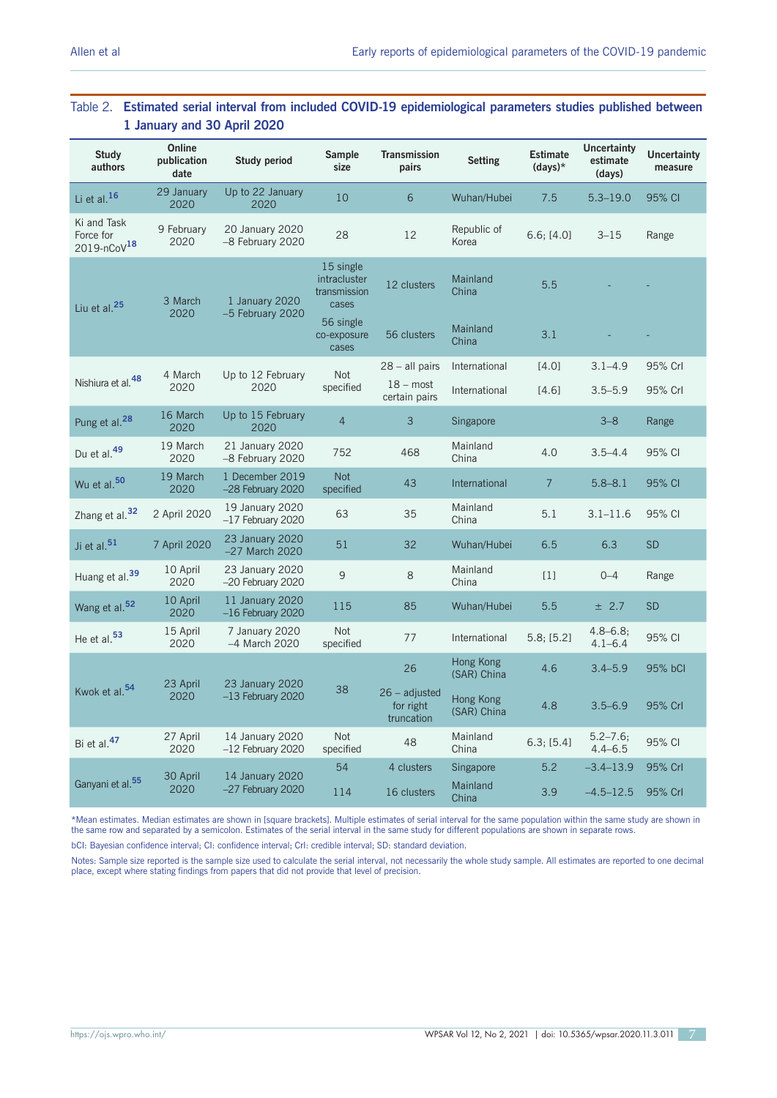## Table 2. **Estimated serial interval from included COVID-19 epidemiological parameters studies published between 1 January and 30 April 2020**

| <b>Study</b><br>authors                                | Online<br>publication<br>date | <b>Study period</b>                    | Sample<br>size                                                  | <b>Transmission</b><br>pairs                      | <b>Setting</b>           | <b>Estimate</b><br>$(days)*$ | <b>Uncertainty</b><br>estimate<br>(days) | <b>Uncertainty</b><br>measure |
|--------------------------------------------------------|-------------------------------|----------------------------------------|-----------------------------------------------------------------|---------------------------------------------------|--------------------------|------------------------------|------------------------------------------|-------------------------------|
| Li et al. $16$                                         | 29 January<br>2020            | Up to 22 January<br>2020               | 10                                                              | 6                                                 | Wuhan/Hubei              | 7.5                          | $5.3 - 19.0$                             | 95% CI                        |
| Ki and Task<br>Force for<br>$2019 - n \text{CoV}^{18}$ | 9 February<br>2020            | 20 January 2020<br>-8 February 2020    | 28                                                              | 12                                                | Republic of<br>Korea     | 6.6; [4.0]                   | $3 - 15$                                 | Range                         |
| Liu et al. <sup>25</sup>                               | 3 March<br>2020               | 1 January 2020<br>-5 February 2020     | 15 single<br>intracluster<br>transmission<br>cases<br>56 single | 12 clusters                                       | Mainland<br>China        | 5.5                          |                                          |                               |
|                                                        |                               |                                        | co-exposure<br>cases                                            | 56 clusters                                       | Mainland<br>China        | 3.1                          |                                          |                               |
|                                                        | 4 March                       | Up to 12 February                      | <b>Not</b>                                                      | $28 -$ all pairs                                  | International            | [4.0]                        | $3.1 - 4.9$                              | 95% Crl                       |
| Nishiura et al. <sup>48</sup>                          | 2020                          | 2020                                   | specified                                                       | $18 - \text{most}$<br>certain pairs               | International            | [4.6]                        | $3.5 - 5.9$                              | 95% Crl                       |
| Pung et al. <sup>28</sup>                              | 16 March<br>2020              | Up to 15 February<br>2020              | $\overline{4}$                                                  | 3                                                 | Singapore                |                              | $3 - 8$                                  | Range                         |
| Du et al. <sup>49</sup>                                | 19 March<br>2020              | 21 January 2020<br>-8 February 2020    | 752                                                             | 468                                               | Mainland<br>China        | 4.0                          | $3.5 - 4.4$                              | 95% CI                        |
| Wu et al. <sup>50</sup>                                | 19 March<br>2020              | 1 December 2019<br>-28 February 2020   | <b>Not</b><br>specified                                         | 43                                                | International            | $\overline{7}$               | $5.8 - 8.1$                              | 95% CI                        |
| Zhang et al. <sup>32</sup>                             | 2 April 2020                  | 19 January 2020<br>$-17$ February 2020 | 63                                                              | 35                                                | Mainland<br>China        | 5.1                          | $3.1 - 11.6$                             | 95% CI                        |
| Ji et al. <sup>51</sup>                                | 7 April 2020                  | 23 January 2020<br>$-27$ March 2020    | 51                                                              | 32                                                | Wuhan/Hubei              | 6.5                          | 6.3                                      | <b>SD</b>                     |
| Huang et al. <sup>39</sup>                             | 10 April<br>2020              | 23 January 2020<br>-20 February 2020   | 9                                                               | 8                                                 | Mainland<br>China        | $[1]$                        | $0 - 4$                                  | Range                         |
| Wang et al. <sup>52</sup>                              | 10 April<br>2020              | 11 January 2020<br>$-16$ February 2020 | 115                                                             | 85                                                | Wuhan/Hubei              | 5.5                          | ± 2.7                                    | <b>SD</b>                     |
| He et al. <sup>53</sup>                                | 15 April<br>2020              | 7 January 2020<br>-4 March 2020        | <b>Not</b><br>specified                                         | 77                                                | International            | 5.8; [5.2]                   | $4.8 - 6.8;$<br>$4.1 - 6.4$              | 95% CI                        |
|                                                        |                               | 23 January 2020                        |                                                                 | 26                                                | Hong Kong<br>(SAR) China | 4.6                          | $3.4 - 5.9$                              | 95% bCl                       |
| Kwok et al. <sup>54</sup>                              | 23 April<br>2020              | $-13$ February 2020                    | 38                                                              | $26 - \text{adjusted}$<br>for right<br>truncation | Hong Kong<br>(SAR) China | 4.8                          | $3.5 - 6.9$                              | 95% Crl                       |
| Bi et al. <sup>47</sup>                                | 27 April<br>2020              | 14 January 2020<br>$-12$ February 2020 | <b>Not</b><br>specified                                         | 48                                                | Mainland<br>China        | 6.3; [5.4]                   | $5.2 - 7.6;$<br>$4.4 - 6.5$              | 95% CI                        |
|                                                        | 30 April                      | 14 January 2020                        | 54                                                              | 4 clusters                                        | Singapore                | 5.2                          | $-3.4 - 13.9$                            | 95% Crl                       |
| Ganyani et al. <sup>55</sup>                           | 2020                          | $-27$ February 2020                    | 114                                                             | 16 clusters                                       | Mainland<br>China        | 3.9                          | $-4.5 - 12.5$                            | 95% Crl                       |

\*Mean estimates. Median estimates are shown in [square brackets]. Multiple estimates of serial interval for the same population within the same study are shown in the same row and separated by a semicolon. Estimates of the serial interval in the same study for different populations are shown in separate rows.

bCI: Bayesian confidence interval; CI: confidence interval; CrI: credible interval; SD: standard deviation.

Notes: Sample size reported is the sample size used to calculate the serial interval, not necessarily the whole study sample. All estimates are reported to one decimal place, except where stating findings from papers that did not provide that level of precision.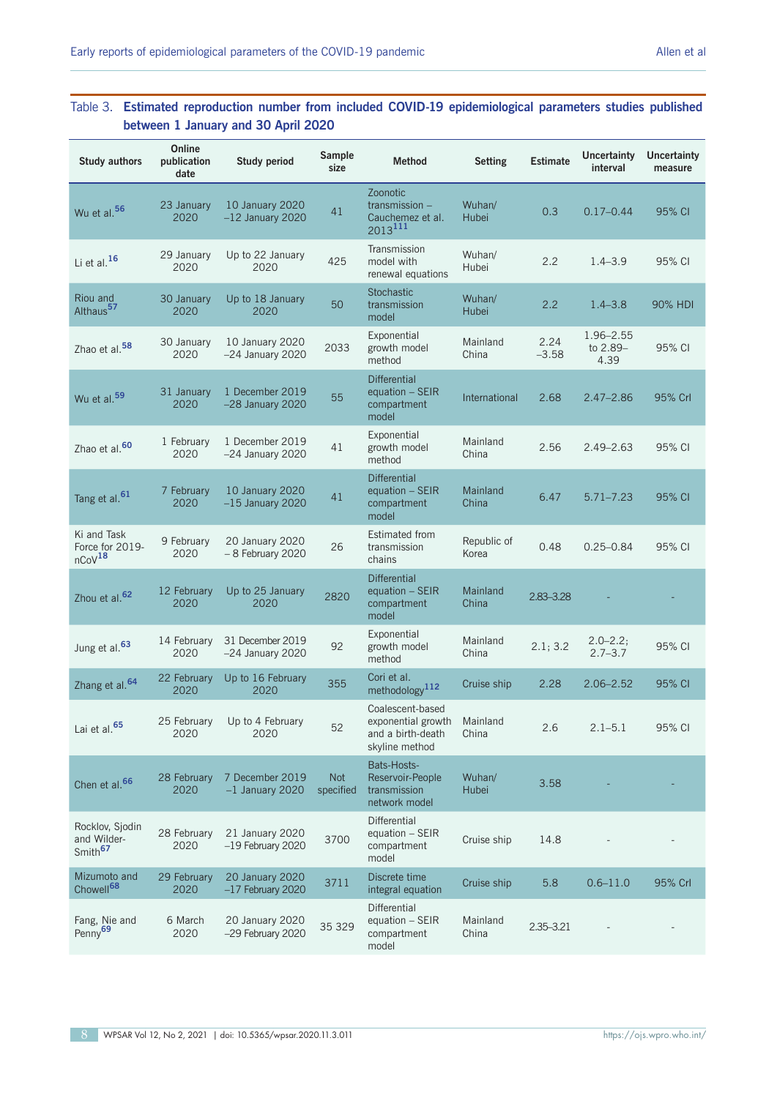## Table 3. **Estimated reproduction number from included COVID-19 epidemiological parameters studies published between 1 January and 30 April 2020**

| <b>Study authors</b>                                  | Online<br>publication<br>date | <b>Study period</b>                    | Sample<br>size          | <b>Method</b>                                                                          | <b>Setting</b>       | <b>Estimate</b> | <b>Uncertainty</b><br>interval | <b>Uncertainty</b><br>measure |
|-------------------------------------------------------|-------------------------------|----------------------------------------|-------------------------|----------------------------------------------------------------------------------------|----------------------|-----------------|--------------------------------|-------------------------------|
| Wu et al. <sup>56</sup>                               | 23 January<br>2020            | 10 January 2020<br>$-12$ January 2020  | 41                      | Zoonotic<br>$transmission -$<br>Cauchemez et al.<br>2013111                            | Wuhan/<br>Hubei      | 0.3             | $0.17 - 0.44$                  | 95% CI                        |
| Li et al. $16$                                        | 29 January<br>2020            | Up to 22 January<br>2020               | 425                     | Transmission<br>model with<br>renewal equations                                        | Wuhan/<br>Hubei      | 2.2             | $1.4 - 3.9$                    | 95% CI                        |
| Riou and<br>Althaus <sup>57</sup>                     | 30 January<br>2020            | Up to 18 January<br>2020               | 50                      | <b>Stochastic</b><br>transmission<br>model                                             | Wuhan/<br>Hubei      | 2.2             | $1.4 - 3.8$                    | 90% HDI                       |
| Zhao et al. <sup>58</sup>                             | 30 January<br>2020            | 10 January 2020<br>$-24$ January 2020  | 2033                    | Exponential<br>growth model<br>method                                                  | Mainland<br>China    | 2.24<br>$-3.58$ | 1.96-2.55<br>to 2.89-<br>4.39  | 95% CI                        |
| Wu et al. <sup>59</sup>                               | 31 January<br>2020            | 1 December 2019<br>$-28$ January 2020  | 55                      | <b>Differential</b><br>equation - SEIR<br>compartment<br>model                         | International        | 2.68            | $2.47 - 2.86$                  | 95% Crl                       |
| Zhao et al. <sup>60</sup>                             | 1 February<br>2020            | 1 December 2019<br>$-24$ January 2020  | 41                      | Exponential<br>growth model<br>method                                                  | Mainland<br>China    | 2.56            | $2.49 - 2.63$                  | 95% CI                        |
| Tang et al. <sup>61</sup>                             | 7 February<br>2020            | 10 January 2020<br>$-15$ January 2020  | 41                      | <b>Differential</b><br>equation - SEIR<br>compartment<br>model                         | Mainland<br>China    | 6.47            | $5.71 - 7.23$                  | 95% CI                        |
| Ki and Task<br>Force for 2019-<br>nCoV <sup>18</sup>  | 9 February<br>2020            | 20 January 2020<br>- 8 February 2020   | 26                      | <b>Estimated from</b><br>transmission<br>chains                                        | Republic of<br>Korea | 0.48            | $0.25 - 0.84$                  | 95% CI                        |
| Zhou et al. <sup>62</sup>                             | 12 February<br>2020           | Up to 25 January<br>2020               | 2820                    | <b>Differential</b><br>equation - SEIR<br>compartment<br>model                         | Mainland<br>China    | 2.83 - 3.28     |                                |                               |
| Jung et al. <sup>63</sup>                             | 14 February<br>2020           | 31 December 2019<br>$-24$ January 2020 | 92                      | Exponential<br>growth model<br>method                                                  | Mainland<br>China    | 2.1; 3.2        | $2.0 - 2.2;$<br>$2.7 - 3.7$    | 95% CI                        |
| Zhang et al. <sup>64</sup>                            | 22 February<br>2020           | Up to 16 February<br>2020              | 355                     | Cori et al.<br>methodology <sup>112</sup>                                              | Cruise ship          | 2.28            | $2.06 - 2.52$                  | 95% CI                        |
| Lai et al. <sup>65</sup>                              | 2020                          | 25 February Up to 4 February<br>2020   | 52                      | Coalescent-based<br>exponential growth Mainland<br>and a birth-death<br>skyline method | China                | 2.6             | $2.1 - 5.1$                    | 95% CI                        |
| Chen et al. <sup>66</sup>                             | 28 February<br>2020           | 7 December 2019<br>$-1$ January 2020   | <b>Not</b><br>specified | Bats-Hosts-<br>Reservoir-People<br>transmission<br>network model                       | Wuhan/<br>Hubei      | 3.58            |                                |                               |
| Rocklov, Sjodin<br>and Wilder-<br>Smith <sup>67</sup> | 28 February<br>2020           | 21 January 2020<br>$-19$ February 2020 | 3700                    | Differential<br>equation - SEIR<br>compartment<br>model                                | Cruise ship          | 14.8            |                                |                               |
| Mizumoto and<br>Chowell <sup>68</sup>                 | 29 February<br>2020           | 20 January 2020<br>$-17$ February 2020 | 3711                    | Discrete time<br>integral equation                                                     | Cruise ship          | 5.8             | $0.6 - 11.0$                   | 95% Crl                       |
| Fang, Nie and<br>Penny <sup>69</sup>                  | 6 March<br>2020               | 20 January 2020<br>-29 February 2020   | 35 329                  | Differential<br>equation - SEIR<br>compartment<br>model                                | Mainland<br>China    | 2.35 - 3.21     |                                |                               |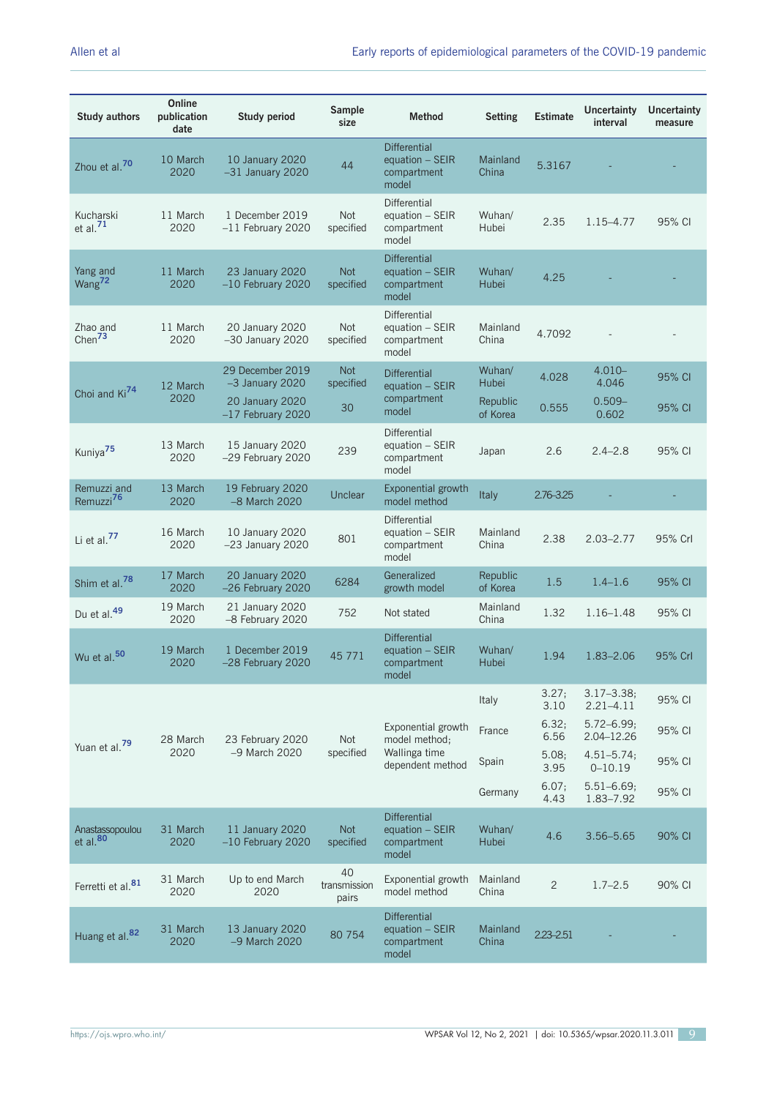| <b>Study authors</b>                 | Online<br>publication<br>date | <b>Study period</b>                    | Sample<br>size              | <b>Method</b>                                                    | <b>Setting</b>       | <b>Estimate</b> | <b>Uncertainty</b><br>interval   | <b>Uncertainty</b><br>measure |
|--------------------------------------|-------------------------------|----------------------------------------|-----------------------------|------------------------------------------------------------------|----------------------|-----------------|----------------------------------|-------------------------------|
| Zhou et al. <sup>70</sup>            | 10 March<br>2020              | 10 January 2020<br>$-31$ January 2020  | 44                          | <b>Differential</b><br>equation $-$ SEIR<br>compartment<br>model | Mainland<br>China    | 5.3167          |                                  |                               |
| Kucharski<br>et al. $71$             | 11 March<br>2020              | 1 December 2019<br>$-11$ February 2020 | <b>Not</b><br>specified     | <b>Differential</b><br>equation - SEIR<br>compartment<br>model   | Wuhan/<br>Hubei      | 2.35            | 1.15-4.77                        | 95% CI                        |
| Yang and<br>Wang <sup>72</sup>       | 11 March<br>2020              | 23 January 2020<br>$-10$ February 2020 | <b>Not</b><br>specified     | <b>Differential</b><br>equation $-$ SEIR<br>compartment<br>model | Wuhan/<br>Hubei      | 4.25            |                                  |                               |
| Zhao and<br>Chen $73$                | 11 March<br>2020              | 20 January 2020<br>$-30$ January 2020  | Not<br>specified            | <b>Differential</b><br>equation - SEIR<br>compartment<br>model   | Mainland<br>China    | 4.7092          |                                  |                               |
|                                      | 12 March                      | 29 December 2019<br>$-3$ January 2020  | <b>Not</b><br>specified     | <b>Differential</b><br>equation $-$ SEIR                         | Wuhan/<br>Hubei      | 4.028           | $4.010 -$<br>4.046               | 95% CI                        |
| Choi and Ki <sup>74</sup>            | 2020                          | 20 January 2020<br>$-17$ February 2020 | 30                          | compartment<br>model                                             | Republic<br>of Korea | 0.555           | $0.509 -$<br>0.602               | 95% CI                        |
| Kuniya <sup>75</sup>                 | 13 March<br>2020              | 15 January 2020<br>-29 February 2020   | 239                         | <b>Differential</b><br>equation - SEIR<br>compartment<br>model   | Japan                | 2.6             | $2.4 - 2.8$                      | 95% CI                        |
| Remuzzi and<br>Remuzzi <sup>76</sup> | 13 March<br>2020              | 19 February 2020<br>-8 March 2020      | Unclear                     | Exponential growth<br>model method                               | <b>Italy</b>         | 2.76-3.25       |                                  |                               |
| Li et al. <sup>77</sup>              | 16 March<br>2020              | 10 January 2020<br>$-23$ January 2020  | 801                         | Differential<br>equation $-$ SEIR<br>compartment<br>model        | Mainland<br>China    | 2.38            | $2.03 - 2.77$                    | 95% Crl                       |
| Shim et al. <sup>78</sup>            | 17 March<br>2020              | 20 January 2020<br>-26 February 2020   | 6284                        | Generalized<br>growth model                                      | Republic<br>of Korea | 1.5             | $1.4 - 1.6$                      | 95% CI                        |
| Du et al. <sup>49</sup>              | 19 March<br>2020              | 21 January 2020<br>-8 February 2020    | 752                         | Not stated                                                       | Mainland<br>China    | 1.32            | $1.16 - 1.48$                    | 95% CI                        |
| Wu et al. <sup>50</sup>              | 19 March<br>2020              | 1 December 2019<br>-28 February 2020   | 45 771                      | <b>Differential</b><br>equation $-$ SEIR<br>compartment<br>model | Wuhan/<br>Hubei      | 1.94            | 1.83-2.06                        | 95% Crl                       |
|                                      |                               |                                        |                             |                                                                  | Italy                | 3.27;<br>3.10   | $3.17 - 3.38$ ;<br>$2.21 - 4.11$ | 95% CI                        |
|                                      | 28 March                      | 23 February 2020                       | Not                         | Exponential growth<br>model method;                              | France               | 6.32:<br>6.56   | $5.72 - 6.99;$<br>2.04-12.26     | 95% CI                        |
| Yuan et al. <sup>79</sup>            | 2020                          | -9 March 2020                          | specified                   | Wallinga time<br>dependent method                                | Spain                | 5.08;<br>3.95   | $4.51 - 5.74;$<br>$0 - 10.19$    | 95% CI                        |
|                                      |                               |                                        |                             |                                                                  | Germany              | 6.07;<br>4.43   | $5.51 - 6.69;$<br>1.83-7.92      | 95% CI                        |
| Anastassopoulou<br>$et$ al. $80$     | 31 March<br>2020              | 11 January 2020<br>$-10$ February 2020 | <b>Not</b><br>specified     | <b>Differential</b><br>equation $-$ SEIR<br>compartment<br>model | Wuhan/<br>Hubei      | 4.6             | $3.56 - 5.65$                    | 90% CI                        |
| Ferretti et al. <sup>81</sup>        | 31 March<br>2020              | Up to end March<br>2020                | 40<br>transmission<br>pairs | Exponential growth<br>model method                               | Mainland<br>China    | $\overline{c}$  | $1.7 - 2.5$                      | 90% CI                        |
| Huang et al. <sup>82</sup>           | 31 March<br>2020              | 13 January 2020<br>-9 March 2020       | 80 754                      | <b>Differential</b><br>equation - SEIR<br>compartment<br>model   | Mainland<br>China    | $2.23 - 2.51$   |                                  |                               |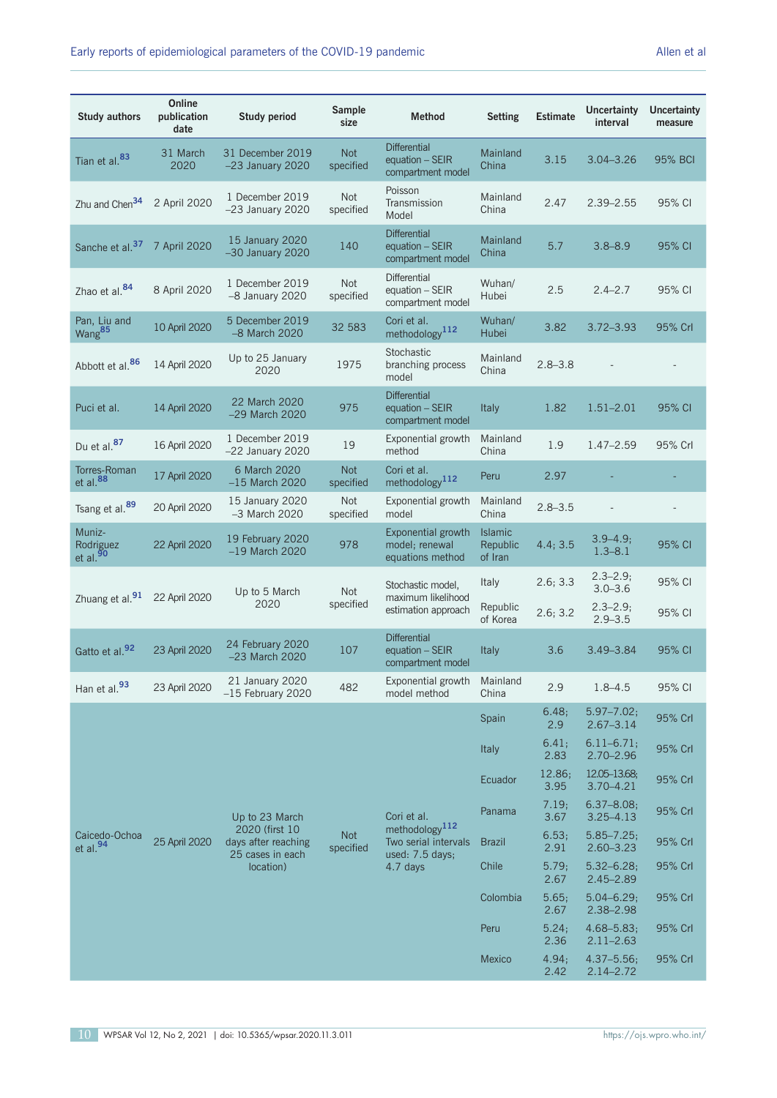| <b>Study authors</b>                          | Online<br>publication<br>date | <b>Study period</b>                                       | Sample<br>size          | <b>Method</b>                                                         | <b>Setting</b>                        | <b>Estimate</b> | <b>Uncertainty</b><br>interval              | <b>Uncertainty</b><br>measure |
|-----------------------------------------------|-------------------------------|-----------------------------------------------------------|-------------------------|-----------------------------------------------------------------------|---------------------------------------|-----------------|---------------------------------------------|-------------------------------|
| Tian et al. <sup>83</sup>                     | 31 March<br>2020              | 31 December 2019<br>$-23$ January 2020                    | <b>Not</b><br>specified | <b>Differential</b><br>equation - SEIR<br>compartment model           | Mainland<br>China                     | 3.15            | $3.04 - 3.26$                               | 95% BCI                       |
| Zhu and Chen <sup>34</sup>                    | 2 April 2020                  | 1 December 2019<br>$-23$ January 2020                     | <b>Not</b><br>specified | Poisson<br>Transmission<br>Model                                      | Mainland<br>China                     | 2.47            | $2.39 - 2.55$                               | 95% CI                        |
| Sanche et al. <sup>37</sup> 7 April 2020      |                               | 15 January 2020<br>$-30$ January 2020                     | 140                     | <b>Differential</b><br>equation - SEIR<br>compartment model           | Mainland<br>China                     | 5.7             | $3.8 - 8.9$                                 | 95% CI                        |
| Zhao et al. <sup>84</sup>                     | 8 April 2020                  | 1 December 2019<br>-8 January 2020                        | <b>Not</b><br>specified | <b>Differential</b><br>equation - SEIR<br>compartment model           | Wuhan/<br>Hubei                       | 2.5             | $2.4 - 2.7$                                 | 95% CI                        |
| Pan, Liu and<br>Wang <sup>85</sup>            | 10 April 2020                 | 5 December 2019<br>-8 March 2020                          | 32 583                  | Cori et al.<br>methodology <sup>112</sup>                             | Wuhan/<br>Hubei                       | 3.82            | $3.72 - 3.93$                               | 95% Crl                       |
| Abbott et al. <sup>86</sup>                   | 14 April 2020                 | Up to 25 January<br>2020                                  | 1975                    | Stochastic<br>branching process<br>model                              | Mainland<br>China                     | $2.8 - 3.8$     |                                             |                               |
| Puci et al.                                   | 14 April 2020                 | 22 March 2020<br>$-29$ March 2020                         | 975                     | <b>Differential</b><br>equation - SEIR<br>compartment model           | <b>Italy</b>                          | 1.82            | $1.51 - 2.01$                               | 95% CI                        |
| Du et al. <sup>87</sup>                       | 16 April 2020                 | 1 December 2019<br>$-22$ January 2020                     | 19                      | Exponential growth<br>method                                          | Mainland<br>China                     | 1.9             | 1.47-2.59                                   | 95% Crl                       |
| Torres-Roman<br>et al. <sup>88</sup>          | 17 April 2020                 | 6 March 2020<br>$-15$ March 2020                          | <b>Not</b><br>specified | Cori et al.<br>methodology <sup>112</sup>                             | Peru                                  | 2.97            |                                             |                               |
| Tsang et al. <sup>89</sup>                    | 20 April 2020                 | 15 January 2020<br>$-3$ March 2020                        | <b>Not</b><br>specified | Exponential growth<br>model                                           | Mainland<br>China                     | $2.8 - 3.5$     |                                             |                               |
| Muniz-<br>Rodriguez<br>et al. $\frac{50}{90}$ | 22 April 2020                 | 19 February 2020<br>$-19$ March 2020                      | 978                     | Exponential growth<br>model; renewal<br>equations method              | <b>Islamic</b><br>Republic<br>of Iran | 4.4; 3.5        | $3.9 - 4.9;$<br>$1.3 - 8.1$                 | 95% CI                        |
| Zhuang et al. <sup>91</sup> 22 April 2020     |                               | Up to 5 March<br>2020                                     | <b>Not</b><br>specified | Stochastic model,<br>maximum likelihood                               | <b>Italy</b><br>Republic              | 2.6; 3.3        | $2.3 - 2.9;$<br>$3.0 - 3.6$<br>$2.3 - 2.9;$ | 95% CI                        |
|                                               |                               |                                                           |                         | estimation approach<br><b>Differential</b>                            | of Korea                              | 2.6; 3.2        | $2.9 - 3.5$                                 | 95% CI                        |
| Gatto et al. <sup>92</sup>                    | 23 April 2020                 | 24 February 2020<br>$-23$ March 2020                      | 107                     | equation $-$ SEIR<br>compartment model                                | <b>Italy</b>                          | 3.6             | $3.49 - 3.84$                               | 95% CI                        |
| Han et al. <sup>93</sup>                      | 23 April 2020                 | 21 January 2020<br>$-15$ February 2020                    | 482                     | Exponential growth<br>model method                                    | Mainland<br>China                     | 2.9             | $1.8 - 4.5$                                 | 95% CI                        |
|                                               |                               |                                                           |                         |                                                                       | Spain                                 | 6.48;<br>2.9    | $5.97 - 7.02;$<br>$2.67 - 3.14$             | 95% Crl                       |
|                                               |                               |                                                           |                         |                                                                       | <b>Italy</b>                          | 6.41;<br>2.83   | $6.11 - 6.71;$<br>$2.70 - 2.96$             | 95% Crl                       |
|                                               |                               |                                                           |                         |                                                                       | Ecuador                               | 12.86;<br>3.95  | 12.05-13.68;<br>$3.70 - 4.21$               | 95% Crl                       |
|                                               |                               | Up to 23 March                                            |                         | Cori et al.                                                           | Panama                                | 7.19;<br>3.67   | $6.37 - 8.08;$<br>$3.25 - 4.13$             | 95% Crl                       |
| Caicedo-Ochoa<br>et al. <sup>94</sup>         | 25 April 2020                 | 2020 (first 10<br>days after reaching<br>25 cases in each | <b>Not</b><br>specified | methodology <sup>112</sup><br>Two serial intervals<br>used: 7.5 days; | <b>Brazil</b>                         | 6.53;<br>2.91   | $5.85 - 7.25$<br>$2.60 - 3.23$              | 95% Crl                       |
|                                               |                               | location)                                                 |                         | 4.7 days                                                              | Chile                                 | 5.79;<br>2.67   | $5.32 - 6.28;$<br>$2.45 - 2.89$             | 95% Crl                       |
|                                               |                               |                                                           |                         |                                                                       | Colombia                              | 5.65;<br>2.67   | $5.04 - 6.29$ ;<br>2.38-2.98                | 95% Crl                       |
|                                               |                               |                                                           |                         |                                                                       | Peru                                  | 5.24;<br>2.36   | $4.68 - 5.83;$<br>$2.11 - 2.63$             | 95% Crl                       |
|                                               |                               |                                                           |                         |                                                                       | Mexico                                | 4.94;<br>2.42   | $4.37 - 5.56$ ;<br>$2.14 - 2.72$            | 95% Crl                       |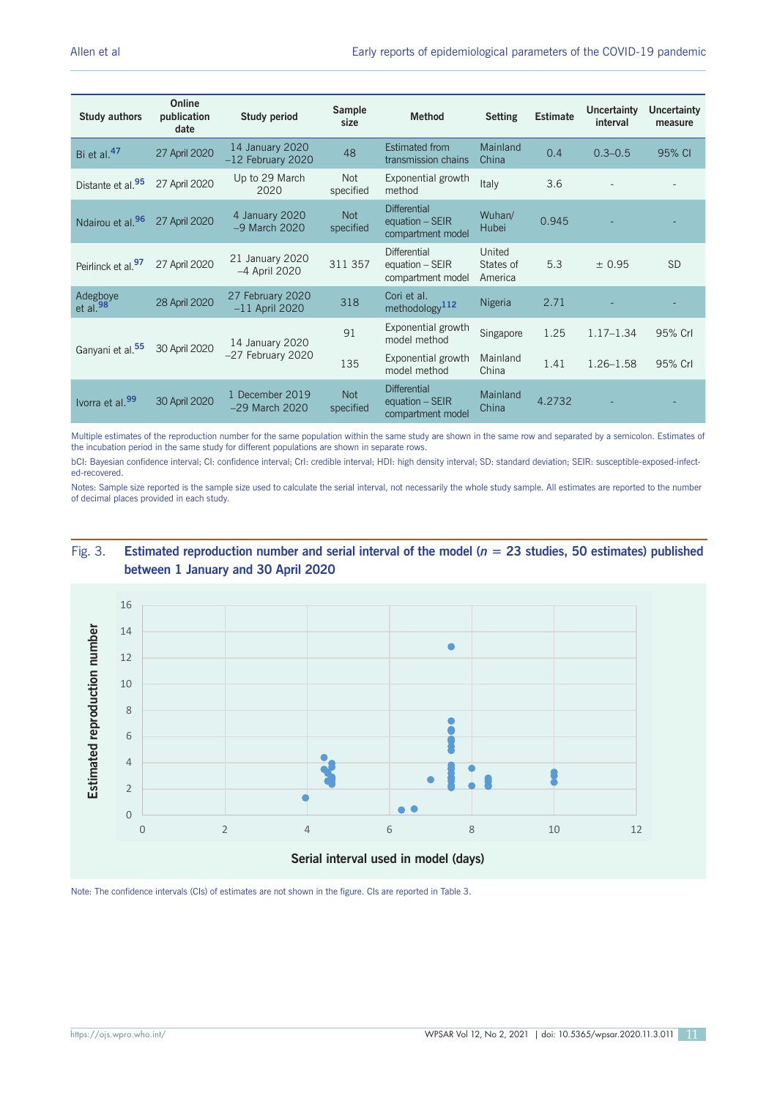| <b>Study authors</b>           | Online<br>publication<br>date | <b>Study period</b>                    | <b>Sample</b><br>size   | <b>Method</b>                                                 | <b>Setting</b>                 | <b>Estimate</b> | <b>Uncertainty</b><br>interval | <b>Uncertainty</b><br>measure |
|--------------------------------|-------------------------------|----------------------------------------|-------------------------|---------------------------------------------------------------|--------------------------------|-----------------|--------------------------------|-------------------------------|
| Bi et al. <sup>47</sup>        | 27 April 2020                 | 14 January 2020<br>$-12$ February 2020 | 48                      | <b>Estimated from</b><br>transmission chains                  | Mainland<br>China              | 0.4             | $0.3 - 0.5$                    | 95% CI                        |
| Distante et al. <sup>95</sup>  | 27 April 2020                 | Up to 29 March<br>2020                 | Not<br>specified        | Exponential growth<br>method                                  | Italy                          | 3.6             |                                |                               |
| Ndairou et al. <sup>96</sup>   | 27 April 2020                 | 4 January 2020<br>$-9$ March 2020      | <b>Not</b><br>specified | <b>Differential</b><br>equation - SEIR<br>compartment model   | Wuhan/<br><b>Hubei</b>         | 0.945           |                                |                               |
| Peirlinck et al. <sup>97</sup> | 27 April 2020                 | 21 January 2020<br>-4 April 2020       | 311 357                 | Differential<br>equation $-$ SEIR<br>compartment model        | United<br>States of<br>America | 5.3             | ± 0.95                         | <b>SD</b>                     |
| Adegboye<br>et al. $98$        | 28 April 2020                 | 27 February 2020<br>$-11$ April 2020   | 318                     | Cori et al.<br>methodology <sup>112</sup>                     | Nigeria                        | 2.71            |                                |                               |
|                                |                               | 14 January 2020<br>$-27$ February 2020 | 91                      | Exponential growth<br>model method                            | Singapore                      | 1.25            | $1.17 - 1.34$                  | 95% Crl                       |
| Ganyani et al. <sup>55</sup>   | 30 April 2020                 |                                        | 135                     | Exponential growth<br>model method                            | Mainland<br>China              | 1.41            | $1.26 - 1.58$                  | 95% Crl                       |
| Ivorra et al. <sup>99</sup>    | 30 April 2020                 | 1 December 2019<br>$-29$ March 2020    | <b>Not</b><br>specified | <b>Differential</b><br>equation $-$ SEIR<br>compartment model | Mainland<br>China              | 4.2732          |                                |                               |

Multiple estimates of the reproduction number for the same population within the same study are shown in the same row and separated by a semicolon. Estimates of the incubation period in the same study for different populations are shown in separate rows.

bCI: Bayesian confidence interval; CI: confidence interval; CrI: credible interval; HDI: high density interval; SD: standard deviation; SEIR: susceptible-exposed-infected-recovered.

Notes: Sample size reported is the sample size used to calculate the serial interval, not necessarily the whole study sample. All estimates are reported to the number of decimal places provided in each study.

## Fig. 3. **Estimated reproduction number and serial interval of the model (***n* **= 23 studies, 50 estimates) published <b>and interval of the model** (*n* = 23 studies, 50 estimates) published **between 1 January and 30 April 2020**

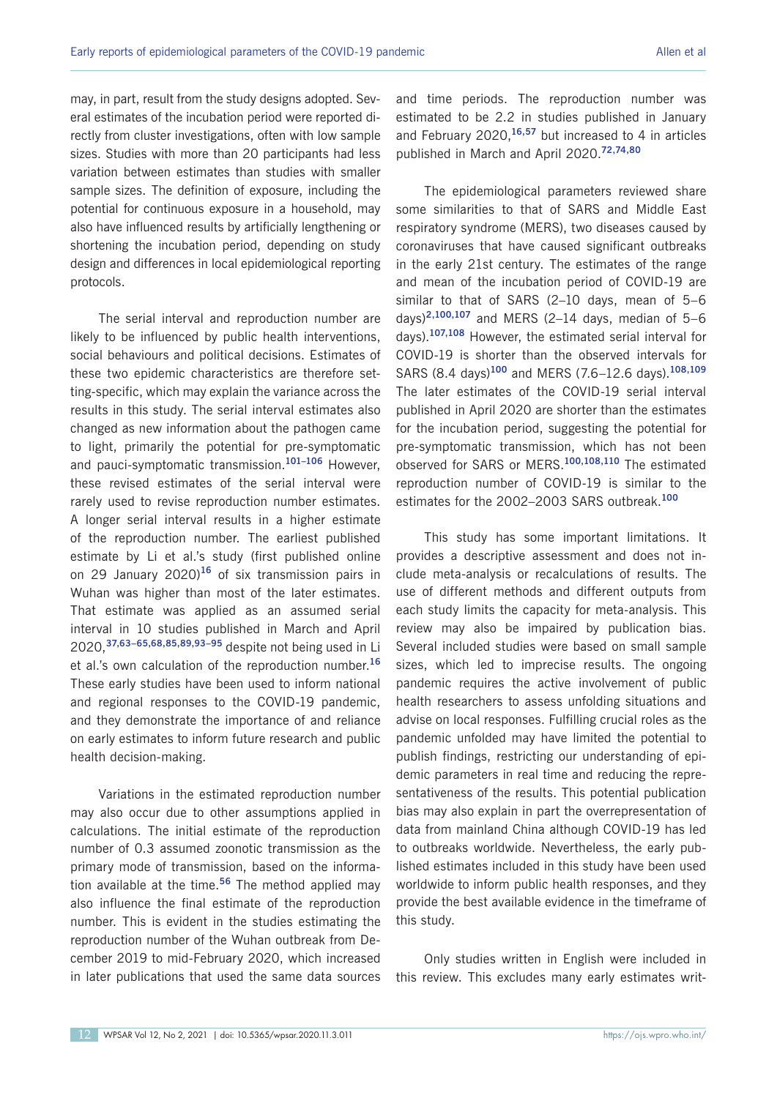may, in part, result from the study designs adopted. Several estimates of the incubation period were reported directly from cluster investigations, often with low sample sizes. Studies with more than 20 participants had less variation between estimates than studies with smaller sample sizes. The definition of exposure, including the potential for continuous exposure in a household, may also have influenced results by artificially lengthening or shortening the incubation period, depending on study design and differences in local epidemiological reporting protocols.

The serial interval and reproduction number are likely to be influenced by public health interventions. social behaviours and political decisions. Estimates of these two epidemic characteristics are therefore setting-specific, which may explain the variance across the results in this study. The serial interval estimates also changed as new information about the pathogen came to light, primarily the potential for pre-symptomatic and pauci-symptomatic transmission.**101–106** However, these revised estimates of the serial interval were rarely used to revise reproduction number estimates. A longer serial interval results in a higher estimate of the reproduction number. The earliest published estimate by Li et al.'s study (first published online on 29 January 2020)**<sup>16</sup>** of six transmission pairs in Wuhan was higher than most of the later estimates. That estimate was applied as an assumed serial interval in 10 studies published in March and April 2020,**37,63–65,68,85,89,93–95** despite not being used in Li et al.'s own calculation of the reproduction number.**<sup>16</sup>** These early studies have been used to inform national and regional responses to the COVID-19 pandemic, and they demonstrate the importance of and reliance on early estimates to inform future research and public health decision-making.

Variations in the estimated reproduction number may also occur due to other assumptions applied in calculations. The initial estimate of the reproduction number of 0.3 assumed zoonotic transmission as the primary mode of transmission, based on the information available at the time.**<sup>56</sup>** The method applied may also influence the final estimate of the reproduction number. This is evident in the studies estimating the reproduction number of the Wuhan outbreak from December 2019 to mid-February 2020, which increased in later publications that used the same data sources and time periods. The reproduction number was estimated to be 2.2 in studies published in January and February 2020,**16,57** but increased to 4 in articles published in March and April 2020.**72,74,80**

The epidemiological parameters reviewed share some similarities to that of SARS and Middle East respiratory syndrome (MERS), two diseases caused by coronaviruses that have caused significant outbreaks in the early 21st century. The estimates of the range and mean of the incubation period of COVID-19 are similar to that of SARS (2–10 days, mean of 5–6 days)**2,100,107** and MERS (2–14 days, median of 5–6 days).**107,108** However, the estimated serial interval for COVID-19 is shorter than the observed intervals for SARS (8.4 days)**<sup>100</sup>** and MERS (7.6–12.6 days).**108,109** The later estimates of the COVID-19 serial interval published in April 2020 are shorter than the estimates for the incubation period, suggesting the potential for pre-symptomatic transmission, which has not been observed for SARS or MERS.**100,108,110** The estimated reproduction number of COVID-19 is similar to the estimates for the 2002–2003 SARS outbreak.**<sup>100</sup>**

This study has some important limitations. It provides a descriptive assessment and does not include meta-analysis or recalculations of results. The use of different methods and different outputs from each study limits the capacity for meta-analysis. This review may also be impaired by publication bias. Several included studies were based on small sample sizes, which led to imprecise results. The ongoing pandemic requires the active involvement of public health researchers to assess unfolding situations and advise on local responses. Fulfilling crucial roles as the pandemic unfolded may have limited the potential to publish findings, restricting our understanding of epidemic parameters in real time and reducing the representativeness of the results. This potential publication bias may also explain in part the overrepresentation of data from mainland China although COVID-19 has led to outbreaks worldwide. Nevertheless, the early published estimates included in this study have been used worldwide to inform public health responses, and they provide the best available evidence in the timeframe of this study.

Only studies written in English were included in this review. This excludes many early estimates writ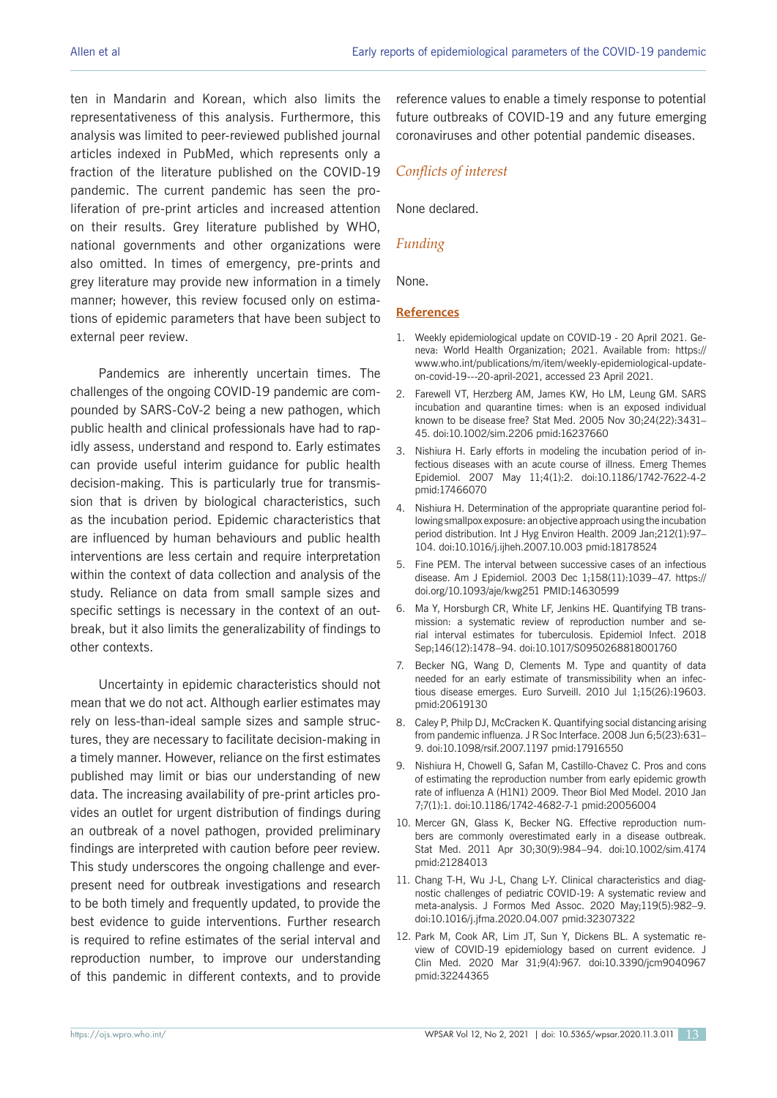ten in Mandarin and Korean, which also limits the representativeness of this analysis. Furthermore, this analysis was limited to peer-reviewed published journal articles indexed in PubMed, which represents only a fraction of the literature published on the COVID-19 pandemic. The current pandemic has seen the proliferation of pre-print articles and increased attention on their results. Grey literature published by WHO, national governments and other organizations were also omitted. In times of emergency, pre-prints and grey literature may provide new information in a timely manner; however, this review focused only on estimations of epidemic parameters that have been subject to external peer review.

Pandemics are inherently uncertain times. The challenges of the ongoing COVID-19 pandemic are compounded by SARS-CoV-2 being a new pathogen, which public health and clinical professionals have had to rapidly assess, understand and respond to. Early estimates can provide useful interim guidance for public health decision-making. This is particularly true for transmission that is driven by biological characteristics, such as the incubation period. Epidemic characteristics that are influenced by human behaviours and public health interventions are less certain and require interpretation within the context of data collection and analysis of the study. Reliance on data from small sample sizes and specific settings is necessary in the context of an outbreak, but it also limits the generalizability of findings to other contexts.

Uncertainty in epidemic characteristics should not mean that we do not act. Although earlier estimates may rely on less-than-ideal sample sizes and sample structures, they are necessary to facilitate decision-making in a timely manner. However, reliance on the first estimates published may limit or bias our understanding of new data. The increasing availability of pre-print articles provides an outlet for urgent distribution of findings during an outbreak of a novel pathogen, provided preliminary findings are interpreted with caution before peer review. This study underscores the ongoing challenge and everpresent need for outbreak investigations and research to be both timely and frequently updated, to provide the best evidence to guide interventions. Further research is required to refine estimates of the serial interval and reproduction number, to improve our understanding of this pandemic in different contexts, and to provide

reference values to enable a timely response to potential future outbreaks of COVID-19 and any future emerging coronaviruses and other potential pandemic diseases.

#### *Conflicts of interest*

None declared.

#### *Funding*

None.

#### **References**

- 1. Weekly epidemiological update on COVID-19 20 April 2021. Geneva: World Health Organization; 2021. Available from: https:// www.who.int/publications/m/item/weekly-epidemiological-updateon-covid-19---20-april-2021, accessed 23 April 2021.
- 2. Farewell VT, Herzberg AM, James KW, Ho LM, Leung GM. SARS incubation and quarantine times: when is an exposed individual known to be disease free? Stat Med. 2005 Nov 30;24(22):3431– 45. doi:10.1002/sim.2206 pmid:16237660
- 3. Nishiura H. Early efforts in modeling the incubation period of infectious diseases with an acute course of illness. Emerg Themes Epidemiol. 2007 May 11;4(1):2. doi:10.1186/1742-7622-4-2 pmid:17466070
- 4. Nishiura H. Determination of the appropriate quarantine period following smallpox exposure: an objective approach using the incubation period distribution. Int J Hyg Environ Health. 2009 Jan;212(1):97– 104. doi:10.1016/j.ijheh.2007.10.003 pmid:18178524
- 5. Fine PEM. The interval between successive cases of an infectious disease. Am J Epidemiol. 2003 Dec 1;158(11):1039–47. https:// doi.org/10.1093/aje/kwg251 PMID:14630599
- 6. Ma Y, Horsburgh CR, White LF, Jenkins HE. Quantifying TB transmission: a systematic review of reproduction number and serial interval estimates for tuberculosis. Epidemiol Infect. 2018 Sep;146(12):1478–94. doi:10.1017/S0950268818001760
- 7. Becker NG, Wang D, Clements M. Type and quantity of data needed for an early estimate of transmissibility when an infectious disease emerges. Euro Surveill. 2010 Jul 1;15(26):19603. pmid:20619130
- 8. Caley P, Philp DJ, McCracken K. Quantifying social distancing arising from pandemic influenza. J R Soc Interface. 2008 Jun 6;5(23):631– 9. doi:10.1098/rsif.2007.1197 pmid:17916550
- 9. Nishiura H, Chowell G, Safan M, Castillo-Chavez C. Pros and cons of estimating the reproduction number from early epidemic growth rate of influenza A (H1N1) 2009. Theor Biol Med Model. 2010 Jan 7;7(1):1. doi:10.1186/1742-4682-7-1 pmid:20056004
- 10. Mercer GN, Glass K, Becker NG. Effective reproduction numbers are commonly overestimated early in a disease outbreak. Stat Med. 2011 Apr 30;30(9):984–94. doi:10.1002/sim.4174 pmid:21284013
- 11. Chang T-H, Wu J-L, Chang L-Y. Clinical characteristics and diagnostic challenges of pediatric COVID-19: A systematic review and meta-analysis. J Formos Med Assoc. 2020 May;119(5):982–9. doi:10.1016/j.jfma.2020.04.007 pmid:32307322
- 12. Park M, Cook AR, Lim JT, Sun Y, Dickens BL. A systematic review of COVID-19 epidemiology based on current evidence. J Clin Med. 2020 Mar 31;9(4):967. doi:10.3390/jcm9040967 pmid:32244365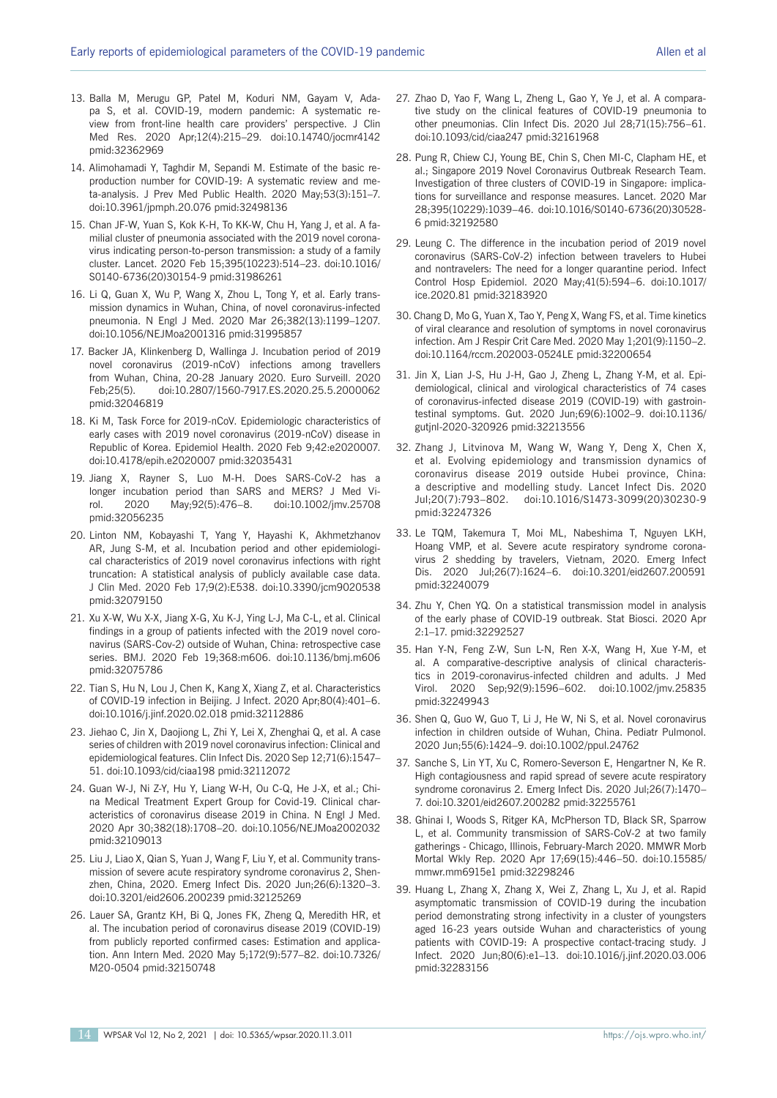- 13. Balla M, Merugu GP, Patel M, Koduri NM, Gayam V, Adapa S, et al. COVID-19, modern pandemic: A systematic review from front-line health care providers' perspective. J Clin Med Res. 2020 Apr;12(4):215–29. doi:10.14740/jocmr4142 pmid:32362969
- 14. Alimohamadi Y, Taghdir M, Sepandi M. Estimate of the basic reproduction number for COVID-19: A systematic review and meta-analysis. J Prev Med Public Health. 2020 May;53(3):151–7. doi:10.3961/jpmph.20.076 pmid:32498136
- 15. Chan JF-W, Yuan S, Kok K-H, To KK-W, Chu H, Yang J, et al. A familial cluster of pneumonia associated with the 2019 novel coronavirus indicating person-to-person transmission: a study of a family cluster. Lancet. 2020 Feb 15;395(10223):514–23. doi:10.1016/ S0140-6736(20)30154-9 pmid:31986261
- 16. Li Q, Guan X, Wu P, Wang X, Zhou L, Tong Y, et al. Early transmission dynamics in Wuhan, China, of novel coronavirus-infected pneumonia. N Engl J Med. 2020 Mar 26;382(13):1199–1207. doi:10.1056/NEJMoa2001316 pmid:31995857
- 17. Backer JA, Klinkenberg D, Wallinga J. Incubation period of 2019 novel coronavirus (2019-nCoV) infections among travellers from Wuhan, China, 20-28 January 2020. Euro Surveill. 2020 Feb;25(5). doi:10.2807/1560-7917.ES.2020.25.5.2000062 pmid:32046819
- 18. Ki M, Task Force for 2019-nCoV. Epidemiologic characteristics of early cases with 2019 novel coronavirus (2019-nCoV) disease in Republic of Korea. Epidemiol Health. 2020 Feb 9;42:e2020007. doi:10.4178/epih.e2020007 pmid:32035431
- 19. Jiang X, Rayner S, Luo M-H. Does SARS-CoV-2 has a longer incubation period than SARS and MERS? J Med Virol. 2020 May;92(5):476–8. doi:10.1002/jmv.25708 pmid:32056235
- 20. Linton NM, Kobayashi T, Yang Y, Hayashi K, Akhmetzhanov AR, Jung S-M, et al. Incubation period and other epidemiological characteristics of 2019 novel coronavirus infections with right truncation: A statistical analysis of publicly available case data. J Clin Med. 2020 Feb 17;9(2):E538. doi:10.3390/jcm9020538 pmid:32079150
- 21. Xu X-W, Wu X-X, Jiang X-G, Xu K-J, Ying L-J, Ma C-L, et al. Clinical findings in a group of patients infected with the 2019 novel coronavirus (SARS-Cov-2) outside of Wuhan, China: retrospective case series. BMJ. 2020 Feb 19;368:m606. doi:10.1136/bmj.m606 pmid:32075786
- 22. Tian S, Hu N, Lou J, Chen K, Kang X, Xiang Z, et al. Characteristics of COVID-19 infection in Beijing. J Infect. 2020 Apr;80(4):401–6. doi:10.1016/j.jinf.2020.02.018 pmid:32112886
- 23. Jiehao C, Jin X, Daojiong L, Zhi Y, Lei X, Zhenghai Q, et al. A case series of children with 2019 novel coronavirus infection: Clinical and epidemiological features. Clin Infect Dis. 2020 Sep 12;71(6):1547– 51. doi:10.1093/cid/ciaa198 pmid:32112072
- 24. Guan W-J, Ni Z-Y, Hu Y, Liang W-H, Ou C-Q, He J-X, et al.; China Medical Treatment Expert Group for Covid-19. Clinical characteristics of coronavirus disease 2019 in China. N Engl J Med. 2020 Apr 30;382(18):1708–20. doi:10.1056/NEJMoa2002032 pmid:32109013
- 25. Liu J, Liao X, Qian S, Yuan J, Wang F, Liu Y, et al. Community transmission of severe acute respiratory syndrome coronavirus 2, Shenzhen, China, 2020. Emerg Infect Dis. 2020 Jun;26(6):1320–3. doi:10.3201/eid2606.200239 pmid:32125269
- 26. Lauer SA, Grantz KH, Bi Q, Jones FK, Zheng Q, Meredith HR, et al. The incubation period of coronavirus disease 2019 (COVID-19) from publicly reported confirmed cases: Estimation and application. Ann Intern Med. 2020 May 5;172(9):577–82. doi:10.7326/ M20-0504 pmid:32150748
- 27. Zhao D, Yao F, Wang L, Zheng L, Gao Y, Ye J, et al. A comparative study on the clinical features of COVID-19 pneumonia to other pneumonias. Clin Infect Dis. 2020 Jul 28;71(15):756–61. doi:10.1093/cid/ciaa247 pmid:32161968
- 28. Pung R, Chiew CJ, Young BE, Chin S, Chen MI-C, Clapham HE, et al.; Singapore 2019 Novel Coronavirus Outbreak Research Team. Investigation of three clusters of COVID-19 in Singapore: implications for surveillance and response measures. Lancet. 2020 Mar 28;395(10229):1039–46. doi:10.1016/S0140-6736(20)30528- 6 pmid:32192580
- 29. Leung C. The difference in the incubation period of 2019 novel coronavirus (SARS-CoV-2) infection between travelers to Hubei and nontravelers: The need for a longer quarantine period. Infect Control Hosp Epidemiol. 2020 May;41(5):594–6. doi:10.1017/ ice.2020.81 pmid:32183920
- 30. Chang D, Mo G, Yuan X, Tao Y, Peng X, Wang FS, et al. Time kinetics of viral clearance and resolution of symptoms in novel coronavirus infection. Am J Respir Crit Care Med. 2020 May 1;201(9):1150–2. doi:10.1164/rccm.202003-0524LE pmid:32200654
- 31. Jin X, Lian J-S, Hu J-H, Gao J, Zheng L, Zhang Y-M, et al. Epidemiological, clinical and virological characteristics of 74 cases of coronavirus-infected disease 2019 (COVID-19) with gastrointestinal symptoms. Gut. 2020 Jun;69(6):1002–9. doi:10.1136/ gutjnl-2020-320926 pmid:32213556
- 32. Zhang J, Litvinova M, Wang W, Wang Y, Deng X, Chen X, et al. Evolving epidemiology and transmission dynamics of coronavirus disease 2019 outside Hubei province, China: a descriptive and modelling study. Lancet Infect Dis. 2020 Jul;20(7):793–802. doi:10.1016/S1473-3099(20)30230-9 pmid:32247326
- 33. Le TQM, Takemura T, Moi ML, Nabeshima T, Nguyen LKH, Hoang VMP, et al. Severe acute respiratory syndrome coronavirus 2 shedding by travelers, Vietnam, 2020. Emerg Infect Dis. 2020 Jul;26(7):1624–6. doi:10.3201/eid2607.200591 pmid:32240079
- 34. Zhu Y, Chen YQ. On a statistical transmission model in analysis of the early phase of COVID-19 outbreak. Stat Biosci. 2020 Apr 2:1–17. pmid:32292527
- 35. Han Y-N, Feng Z-W, Sun L-N, Ren X-X, Wang H, Xue Y-M, et al. A comparative-descriptive analysis of clinical characteristics in 2019-coronavirus-infected children and adults. J Med Virol. 2020 Sep;92(9):1596–602. doi:10.1002/jmv.25835 pmid:32249943
- 36. Shen Q, Guo W, Guo T, Li J, He W, Ni S, et al. Novel coronavirus infection in children outside of Wuhan, China. Pediatr Pulmonol. 2020 Jun;55(6):1424–9. doi:10.1002/ppul.24762
- 37. Sanche S, Lin YT, Xu C, Romero-Severson E, Hengartner N, Ke R. High contagiousness and rapid spread of severe acute respiratory syndrome coronavirus 2. Emerg Infect Dis. 2020 Jul;26(7):1470– 7. doi:10.3201/eid2607.200282 pmid:32255761
- 38. Ghinai I, Woods S, Ritger KA, McPherson TD, Black SR, Sparrow L, et al. Community transmission of SARS-CoV-2 at two family gatherings - Chicago, Illinois, February-March 2020. MMWR Morb Mortal Wkly Rep. 2020 Apr 17;69(15):446–50. doi:10.15585/ mmwr.mm6915e1 pmid:32298246
- 39. Huang L, Zhang X, Zhang X, Wei Z, Zhang L, Xu J, et al. Rapid asymptomatic transmission of COVID-19 during the incubation period demonstrating strong infectivity in a cluster of youngsters aged 16-23 years outside Wuhan and characteristics of young patients with COVID-19: A prospective contact-tracing study. J Infect. 2020 Jun;80(6):e1–13. doi:10.1016/j.jinf.2020.03.006 pmid:32283156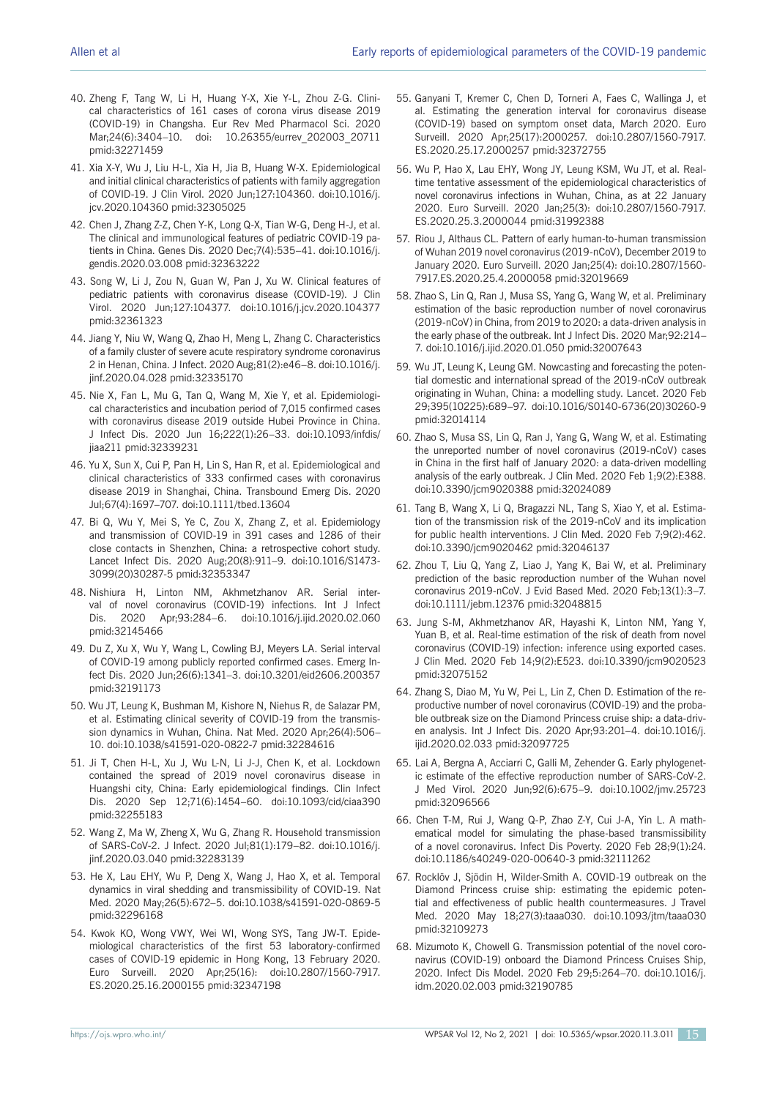- 40. Zheng F, Tang W, Li H, Huang Y-X, Xie Y-L, Zhou Z-G. Clinical characteristics of 161 cases of corona virus disease 2019 (COVID-19) in Changsha. Eur Rev Med Pharmacol Sci. 2020 Mar;24(6):3404-10. doi: 10.26355/eurrev 202003 20711 pmid:32271459
- 41. Xia X-Y, Wu J, Liu H-L, Xia H, Jia B, Huang W-X. Epidemiological and initial clinical characteristics of patients with family aggregation of COVID-19. J Clin Virol. 2020 Jun;127:104360. doi:10.1016/j. jcv.2020.104360 pmid:32305025
- 42. Chen J, Zhang Z-Z, Chen Y-K, Long Q-X, Tian W-G, Deng H-J, et al. The clinical and immunological features of pediatric COVID-19 patients in China. Genes Dis. 2020 Dec;7(4):535–41. doi:10.1016/j. gendis.2020.03.008 pmid:32363222
- 43. Song W, Li J, Zou N, Guan W, Pan J, Xu W. Clinical features of pediatric patients with coronavirus disease (COVID-19). J Clin Virol. 2020 Jun;127:104377. doi:10.1016/j.jcv.2020.104377 pmid:32361323
- 44. Jiang Y, Niu W, Wang Q, Zhao H, Meng L, Zhang C. Characteristics of a family cluster of severe acute respiratory syndrome coronavirus 2 in Henan, China. J Infect. 2020 Aug;81(2):e46–8. doi:10.1016/j. jinf.2020.04.028 pmid:32335170
- 45. Nie X, Fan L, Mu G, Tan Q, Wang M, Xie Y, et al. Epidemiological characteristics and incubation period of 7,015 confirmed cases with coronavirus disease 2019 outside Hubei Province in China. J Infect Dis. 2020 Jun 16;222(1):26–33. doi:10.1093/infdis/ jiaa211 pmid:32339231
- 46. Yu X, Sun X, Cui P, Pan H, Lin S, Han R, et al. Epidemiological and clinical characteristics of 333 confirmed cases with coronavirus disease 2019 in Shanghai, China. Transbound Emerg Dis. 2020 Jul;67(4):1697–707. doi:10.1111/tbed.13604
- 47. Bi Q, Wu Y, Mei S, Ye C, Zou X, Zhang Z, et al. Epidemiology and transmission of COVID-19 in 391 cases and 1286 of their close contacts in Shenzhen, China: a retrospective cohort study. Lancet Infect Dis. 2020 Aug;20(8):911–9. doi:10.1016/S1473- 3099(20)30287-5 pmid:32353347
- 48. Nishiura H, Linton NM, Akhmetzhanov AR. Serial interval of novel coronavirus (COVID-19) infections. Int J Infect Dis. 2020 Apr;93:284–6. doi:10.1016/j.ijid.2020.02.060 pmid:32145466
- 49. Du Z, Xu X, Wu Y, Wang L, Cowling BJ, Meyers LA. Serial interval of COVID-19 among publicly reported confirmed cases. Emerg Infect Dis. 2020 Jun;26(6):1341–3. doi:10.3201/eid2606.200357 pmid:32191173
- 50. Wu JT, Leung K, Bushman M, Kishore N, Niehus R, de Salazar PM, et al. Estimating clinical severity of COVID-19 from the transmission dynamics in Wuhan, China. Nat Med. 2020 Apr;26(4):506– 10. doi:10.1038/s41591-020-0822-7 pmid:32284616
- 51. Ji T, Chen H-L, Xu J, Wu L-N, Li J-J, Chen K, et al. Lockdown contained the spread of 2019 novel coronavirus disease in Huangshi city, China: Early epidemiological findings. Clin Infect Dis. 2020 Sep 12;71(6):1454–60. doi:10.1093/cid/ciaa390 pmid:32255183
- 52. Wang Z, Ma W, Zheng X, Wu G, Zhang R. Household transmission of SARS-CoV-2. J Infect. 2020 Jul;81(1):179–82. doi:10.1016/j. jinf.2020.03.040 pmid:32283139
- 53. He X, Lau EHY, Wu P, Deng X, Wang J, Hao X, et al. Temporal dynamics in viral shedding and transmissibility of COVID-19. Nat Med. 2020 May;26(5):672–5. doi:10.1038/s41591-020-0869-5 pmid:32296168
- 54. Kwok KO, Wong VWY, Wei WI, Wong SYS, Tang JW-T. Epidemiological characteristics of the first 53 laboratory-confirmed cases of COVID-19 epidemic in Hong Kong, 13 February 2020. Euro Surveill. 2020 Apr;25(16): doi:10.2807/1560-7917. ES.2020.25.16.2000155 pmid:32347198
- 55. Ganyani T, Kremer C, Chen D, Torneri A, Faes C, Wallinga J, et al. Estimating the generation interval for coronavirus disease (COVID-19) based on symptom onset data, March 2020. Euro Surveill. 2020 Apr;25(17):2000257. doi:10.2807/1560-7917. ES.2020.25.17.2000257 pmid:32372755
- 56. Wu P, Hao X, Lau EHY, Wong JY, Leung KSM, Wu JT, et al. Realtime tentative assessment of the epidemiological characteristics of novel coronavirus infections in Wuhan, China, as at 22 January 2020. Euro Surveill. 2020 Jan;25(3): doi:10.2807/1560-7917. ES.2020.25.3.2000044 pmid:31992388
- 57. Riou J, Althaus CL. Pattern of early human-to-human transmission of Wuhan 2019 novel coronavirus (2019-nCoV), December 2019 to January 2020. Euro Surveill. 2020 Jan;25(4): doi:10.2807/1560- 7917.ES.2020.25.4.2000058 pmid:32019669
- 58. Zhao S, Lin Q, Ran J, Musa SS, Yang G, Wang W, et al. Preliminary estimation of the basic reproduction number of novel coronavirus (2019-nCoV) in China, from 2019 to 2020: a data-driven analysis in the early phase of the outbreak. Int J Infect Dis. 2020 Mar;92:214– 7. doi:10.1016/j.ijid.2020.01.050 pmid:32007643
- 59. Wu JT, Leung K, Leung GM. Nowcasting and forecasting the potential domestic and international spread of the 2019-nCoV outbreak originating in Wuhan, China: a modelling study. Lancet. 2020 Feb 29;395(10225):689–97. doi:10.1016/S0140-6736(20)30260-9 pmid:32014114
- 60. Zhao S, Musa SS, Lin Q, Ran J, Yang G, Wang W, et al. Estimating the unreported number of novel coronavirus (2019-nCoV) cases in China in the first half of January 2020: a data-driven modelling analysis of the early outbreak. J Clin Med. 2020 Feb 1;9(2):E388. doi:10.3390/jcm9020388 pmid:32024089
- 61. Tang B, Wang X, Li Q, Bragazzi NL, Tang S, Xiao Y, et al. Estimation of the transmission risk of the 2019-nCoV and its implication for public health interventions. J Clin Med. 2020 Feb 7;9(2):462. doi:10.3390/jcm9020462 pmid:32046137
- 62. Zhou T, Liu Q, Yang Z, Liao J, Yang K, Bai W, et al. Preliminary prediction of the basic reproduction number of the Wuhan novel coronavirus 2019-nCoV. J Evid Based Med. 2020 Feb;13(1):3–7. doi:10.1111/jebm.12376 pmid:32048815
- 63. Jung S-M, Akhmetzhanov AR, Hayashi K, Linton NM, Yang Y, Yuan B, et al. Real-time estimation of the risk of death from novel coronavirus (COVID-19) infection: inference using exported cases. J Clin Med. 2020 Feb 14;9(2):E523. doi:10.3390/jcm9020523 pmid:32075152
- 64. Zhang S, Diao M, Yu W, Pei L, Lin Z, Chen D. Estimation of the reproductive number of novel coronavirus (COVID-19) and the probable outbreak size on the Diamond Princess cruise ship: a data-driven analysis. Int J Infect Dis. 2020 Apr;93:201–4. doi:10.1016/j. ijid.2020.02.033 pmid:32097725
- 65. Lai A, Bergna A, Acciarri C, Galli M, Zehender G. Early phylogenetic estimate of the effective reproduction number of SARS-CoV-2. J Med Virol. 2020 Jun;92(6):675–9. doi:10.1002/jmv.25723 pmid:32096566
- 66. Chen T-M, Rui J, Wang Q-P, Zhao Z-Y, Cui J-A, Yin L. A mathematical model for simulating the phase-based transmissibility of a novel coronavirus. Infect Dis Poverty. 2020 Feb 28;9(1):24. doi:10.1186/s40249-020-00640-3 pmid:32111262
- 67. Rocklöv J, Sjödin H, Wilder-Smith A. COVID-19 outbreak on the Diamond Princess cruise ship: estimating the epidemic potential and effectiveness of public health countermeasures. J Travel Med. 2020 May 18;27(3):taaa030. doi:10.1093/jtm/taaa030 pmid:32109273
- 68. Mizumoto K, Chowell G. Transmission potential of the novel coronavirus (COVID-19) onboard the Diamond Princess Cruises Ship, 2020. Infect Dis Model. 2020 Feb 29;5:264–70. doi:10.1016/j. idm.2020.02.003 pmid:32190785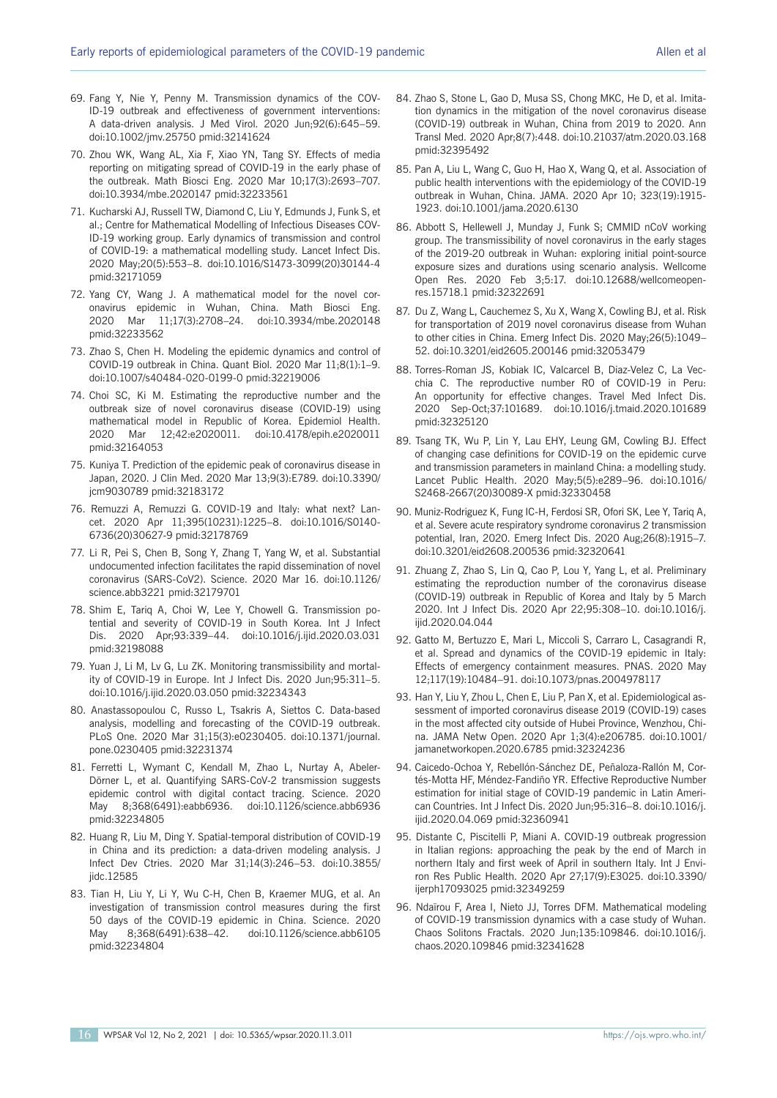- 69. Fang Y, Nie Y, Penny M. Transmission dynamics of the COV-ID-19 outbreak and effectiveness of government interventions: A data-driven analysis. J Med Virol. 2020 Jun;92(6):645–59. doi:10.1002/jmv.25750 pmid:32141624
- 70. Zhou WK, Wang AL, Xia F, Xiao YN, Tang SY. Effects of media reporting on mitigating spread of COVID-19 in the early phase of the outbreak. Math Biosci Eng. 2020 Mar 10;17(3):2693–707. doi:10.3934/mbe.2020147 pmid:32233561
- 71. Kucharski AJ, Russell TW, Diamond C, Liu Y, Edmunds J, Funk S, et al.; Centre for Mathematical Modelling of Infectious Diseases COV-ID-19 working group. Early dynamics of transmission and control of COVID-19: a mathematical modelling study. Lancet Infect Dis. 2020 May;20(5):553–8. doi:10.1016/S1473-3099(20)30144-4 pmid:32171059
- 72. Yang CY, Wang J. A mathematical model for the novel coronavirus epidemic in Wuhan, China. Math Biosci Eng. 2020 Mar 11;17(3):2708–24. doi:10.3934/mbe.2020148 pmid:32233562
- 73. Zhao S, Chen H. Modeling the epidemic dynamics and control of COVID-19 outbreak in China. Quant Biol. 2020 Mar 11;8(1):1–9. doi:10.1007/s40484-020-0199-0 pmid:32219006
- 74. Choi SC, Ki M. Estimating the reproductive number and the outbreak size of novel coronavirus disease (COVID-19) using mathematical model in Republic of Korea. Epidemiol Health. 2020 Mar 12;42:e2020011. doi:10.4178/epih.e2020011 pmid:32164053
- 75. Kuniya T. Prediction of the epidemic peak of coronavirus disease in Japan, 2020. J Clin Med. 2020 Mar 13;9(3):E789. doi:10.3390/ jcm9030789 pmid:32183172
- 76. Remuzzi A, Remuzzi G. COVID-19 and Italy: what next? Lancet. 2020 Apr 11;395(10231):1225–8. doi:10.1016/S0140- 6736(20)30627-9 pmid:32178769
- 77. Li R, Pei S, Chen B, Song Y, Zhang T, Yang W, et al. Substantial undocumented infection facilitates the rapid dissemination of novel coronavirus (SARS-CoV2). Science. 2020 Mar 16. doi:10.1126/ science.abb3221 pmid:32179701
- 78. Shim E, Tariq A, Choi W, Lee Y, Chowell G. Transmission potential and severity of COVID-19 in South Korea. Int J Infect Dis. 2020 Apr;93:339–44. doi:10.1016/j.ijid.2020.03.031 pmid:32198088
- 79. Yuan J, Li M, Lv G, Lu ZK. Monitoring transmissibility and mortality of COVID-19 in Europe. Int J Infect Dis. 2020 Jun;95:311–5. doi:10.1016/j.ijid.2020.03.050 pmid:32234343
- 80. Anastassopoulou C, Russo L, Tsakris A, Siettos C. Data-based analysis, modelling and forecasting of the COVID-19 outbreak. PLoS One. 2020 Mar 31;15(3):e0230405. doi:10.1371/journal. pone.0230405 pmid:32231374
- 81. Ferretti L, Wymant C, Kendall M, Zhao L, Nurtay A, Abeler-Dörner L, et al. Quantifying SARS-CoV-2 transmission suggests epidemic control with digital contact tracing. Science. 2020 May 8;368(6491):eabb6936. doi:10.1126/science.abb6936 pmid:32234805
- 82. Huang R, Liu M, Ding Y. Spatial-temporal distribution of COVID-19 in China and its prediction: a data-driven modeling analysis. J Infect Dev Ctries. 2020 Mar 31;14(3):246–53. doi:10.3855/ jidc.12585
- 83. Tian H, Liu Y, Li Y, Wu C-H, Chen B, Kraemer MUG, et al. An investigation of transmission control measures during the first 50 days of the COVID-19 epidemic in China. Science. 2020 May 8;368(6491):638–42. doi:10.1126/science.abb6105 pmid:32234804
- 84. Zhao S, Stone L, Gao D, Musa SS, Chong MKC, He D, et al. Imitation dynamics in the mitigation of the novel coronavirus disease (COVID-19) outbreak in Wuhan, China from 2019 to 2020. Ann Transl Med. 2020 Apr;8(7):448. doi:10.21037/atm.2020.03.168 pmid:32395492
- 85. Pan A, Liu L, Wang C, Guo H, Hao X, Wang Q, et al. Association of public health interventions with the epidemiology of the COVID-19 outbreak in Wuhan, China. JAMA. 2020 Apr 10; 323(19):1915- 1923. doi:10.1001/jama.2020.6130
- 86. Abbott S, Hellewell J, Munday J, Funk S; CMMID nCoV working group. The transmissibility of novel coronavirus in the early stages of the 2019-20 outbreak in Wuhan: exploring initial point-source exposure sizes and durations using scenario analysis. Wellcome Open Res. 2020 Feb 3;5:17. doi:10.12688/wellcomeopenres.15718.1 pmid:32322691
- 87. Du Z, Wang L, Cauchemez S, Xu X, Wang X, Cowling BJ, et al. Risk for transportation of 2019 novel coronavirus disease from Wuhan to other cities in China. Emerg Infect Dis. 2020 May;26(5):1049– 52. doi:10.3201/eid2605.200146 pmid:32053479
- 88. Torres-Roman JS, Kobiak IC, Valcarcel B, Diaz-Velez C, La Vecchia C. The reproductive number R0 of COVID-19 in Peru: An opportunity for effective changes. Travel Med Infect Dis. 2020 Sep-Oct;37:101689. doi:10.1016/j.tmaid.2020.101689 pmid:32325120
- 89. Tsang TK, Wu P, Lin Y, Lau EHY, Leung GM, Cowling BJ. Effect of changing case definitions for COVID-19 on the epidemic curve and transmission parameters in mainland China: a modelling study. Lancet Public Health. 2020 May;5(5):e289–96. doi:10.1016/ S2468-2667(20)30089-X pmid:32330458
- 90. Muniz-Rodriguez K, Fung IC-H, Ferdosi SR, Ofori SK, Lee Y, Tariq A, et al. Severe acute respiratory syndrome coronavirus 2 transmission potential, Iran, 2020. Emerg Infect Dis. 2020 Aug;26(8):1915–7. doi:10.3201/eid2608.200536 pmid:32320641
- 91. Zhuang Z, Zhao S, Lin Q, Cao P, Lou Y, Yang L, et al. Preliminary estimating the reproduction number of the coronavirus disease (COVID-19) outbreak in Republic of Korea and Italy by 5 March 2020. Int J Infect Dis. 2020 Apr 22;95:308–10. doi:10.1016/j. iiid.2020.04.044
- 92. Gatto M, Bertuzzo E, Mari L, Miccoli S, Carraro L, Casagrandi R, et al. Spread and dynamics of the COVID-19 epidemic in Italy: Effects of emergency containment measures. PNAS. 2020 May 12;117(19):10484–91. doi:10.1073/pnas.2004978117
- 93. Han Y, Liu Y, Zhou L, Chen E, Liu P, Pan X, et al. Epidemiological assessment of imported coronavirus disease 2019 (COVID-19) cases in the most affected city outside of Hubei Province, Wenzhou, China. JAMA Netw Open. 2020 Apr 1;3(4):e206785. doi:10.1001/ jamanetworkopen.2020.6785 pmid:32324236
- 94. Caicedo-Ochoa Y, Rebellón-Sánchez DE, Peñaloza-Rallón M, Cortés-Motta HF, Méndez-Fandiño YR. Effective Reproductive Number estimation for initial stage of COVID-19 pandemic in Latin American Countries. Int J Infect Dis. 2020 Jun;95:316–8. doi:10.1016/j. ijid.2020.04.069 pmid:32360941
- 95. Distante C, Piscitelli P, Miani A. COVID-19 outbreak progression in Italian regions: approaching the peak by the end of March in northern Italy and first week of April in southern Italy. Int J Environ Res Public Health. 2020 Apr 27;17(9):E3025. doi:10.3390/ ijerph17093025 pmid:32349259
- 96. Ndaïrou F, Area I, Nieto JJ, Torres DFM. Mathematical modeling of COVID-19 transmission dynamics with a case study of Wuhan. Chaos Solitons Fractals. 2020 Jun;135:109846. doi:10.1016/j. chaos.2020.109846 pmid:32341628